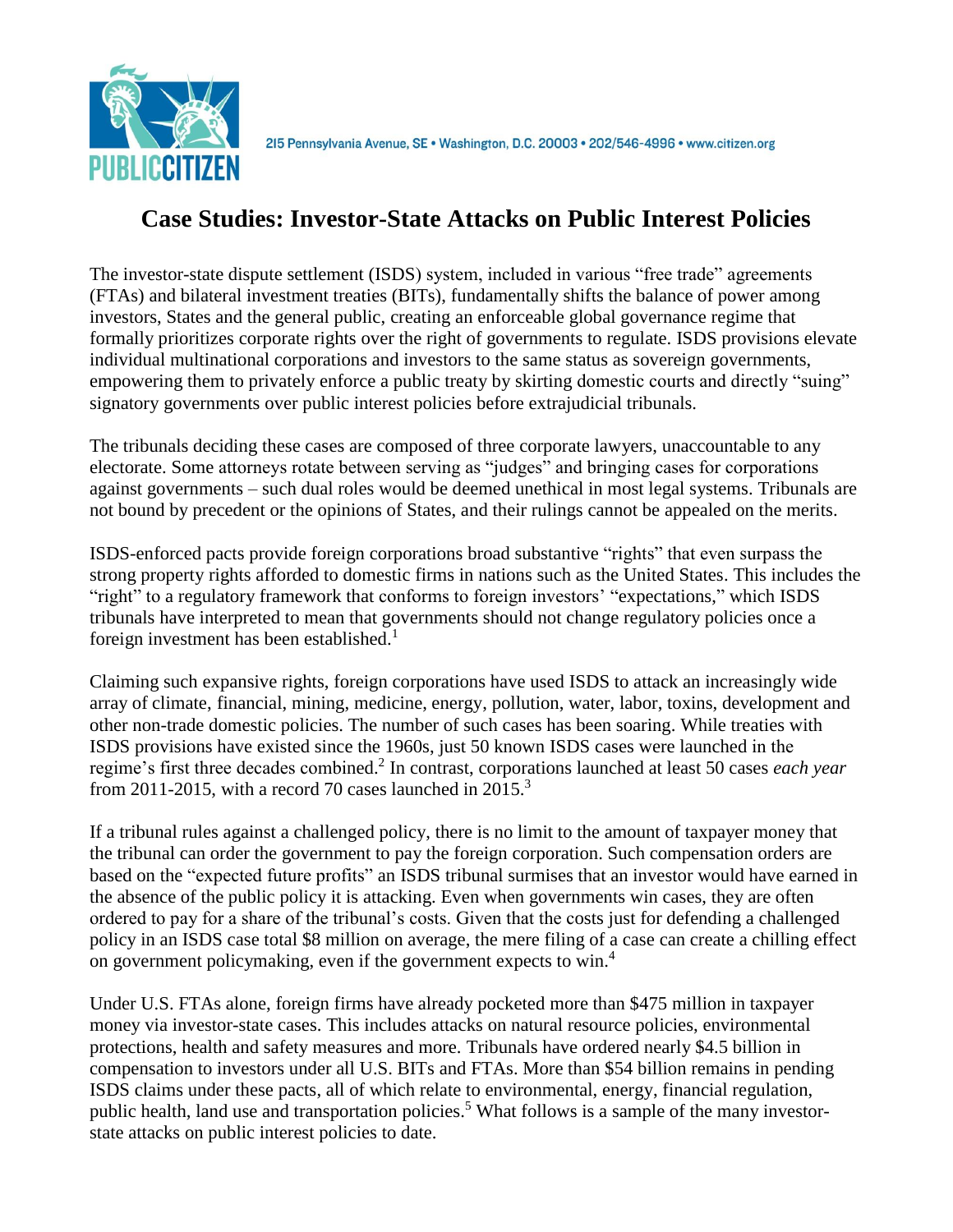

# **Case Studies: Investor-State Attacks on Public Interest Policies**

The investor-state dispute settlement (ISDS) system, included in various "free trade" agreements (FTAs) and bilateral investment treaties (BITs), fundamentally shifts the balance of power among investors, States and the general public, creating an enforceable global governance regime that formally prioritizes corporate rights over the right of governments to regulate. ISDS provisions elevate individual multinational corporations and investors to the same status as sovereign governments, empowering them to privately enforce a public treaty by skirting domestic courts and directly "suing" signatory governments over public interest policies before extrajudicial tribunals.

The tribunals deciding these cases are composed of three corporate lawyers, unaccountable to any electorate. Some attorneys rotate between serving as "judges" and bringing cases for corporations against governments – such dual roles would be deemed unethical in most legal systems. Tribunals are not bound by precedent or the opinions of States, and their rulings cannot be appealed on the merits.

ISDS-enforced pacts provide foreign corporations broad substantive "rights" that even surpass the strong property rights afforded to domestic firms in nations such as the United States. This includes the "right" to a regulatory framework that conforms to foreign investors' "expectations," which ISDS tribunals have interpreted to mean that governments should not change regulatory policies once a foreign investment has been established.<sup>1</sup>

Claiming such expansive rights, foreign corporations have used ISDS to attack an increasingly wide array of climate, financial, mining, medicine, energy, pollution, water, labor, toxins, development and other non-trade domestic policies. The number of such cases has been soaring. While treaties with ISDS provisions have existed since the 1960s, just 50 known ISDS cases were launched in the regime's first three decades combined.<sup>2</sup> In contrast, corporations launched at least 50 cases *each year* from 2011-2015, with a record 70 cases launched in  $2015$ .<sup>3</sup>

If a tribunal rules against a challenged policy, there is no limit to the amount of taxpayer money that the tribunal can order the government to pay the foreign corporation. Such compensation orders are based on the "expected future profits" an ISDS tribunal surmises that an investor would have earned in the absence of the public policy it is attacking. Even when governments win cases, they are often ordered to pay for a share of the tribunal's costs. Given that the costs just for defending a challenged policy in an ISDS case total \$8 million on average, the mere filing of a case can create a chilling effect on government policymaking, even if the government expects to win.<sup>4</sup>

Under U.S. FTAs alone, foreign firms have already pocketed more than \$475 million in taxpayer money via investor-state cases. This includes attacks on natural resource policies, environmental protections, health and safety measures and more. Tribunals have ordered nearly \$4.5 billion in compensation to investors under all U.S. BITs and FTAs. More than \$54 billion remains in pending ISDS claims under these pacts, all of which relate to environmental, energy, financial regulation, public health, land use and transportation policies.<sup>5</sup> What follows is a sample of the many investorstate attacks on public interest policies to date.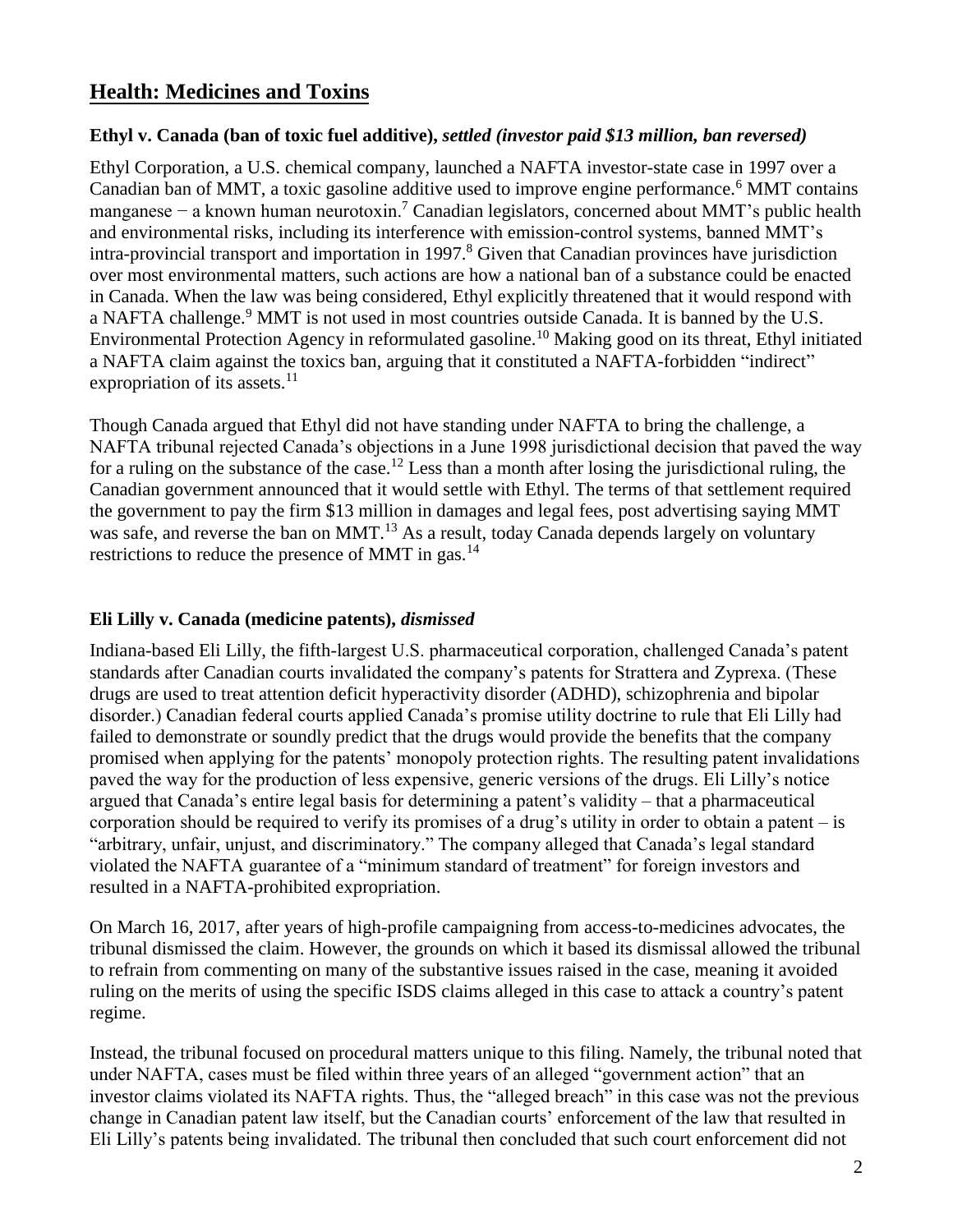### **Health: Medicines and Toxins**

#### **Ethyl v. Canada (ban of toxic fuel additive),** *settled (investor paid \$13 million, ban reversed)*

Ethyl Corporation, a U.S. chemical company, launched a NAFTA investor-state case in 1997 over a Canadian ban of MMT, a toxic gasoline additive used to improve engine performance.<sup>6</sup> MMT contains manganese − a known human neurotoxin.<sup>7</sup> Canadian legislators, concerned about MMT's public health and environmental risks, including its interference with emission-control systems, banned MMT's intra-provincial transport and importation in 1997.<sup>8</sup> Given that Canadian provinces have jurisdiction over most environmental matters, such actions are how a national ban of a substance could be enacted in Canada. When the law was being considered, Ethyl explicitly threatened that it would respond with a NAFTA challenge.<sup>9</sup> MMT is not used in most countries outside Canada. It is banned by the U.S. Environmental Protection Agency in reformulated gasoline.<sup>10</sup> Making good on its threat, Ethyl initiated a NAFTA claim against the toxics ban, arguing that it constituted a NAFTA-forbidden "indirect" expropriation of its assets.<sup>11</sup>

Though Canada argued that Ethyl did not have standing under NAFTA to bring the challenge, a NAFTA tribunal rejected Canada's objections in a June 1998 jurisdictional decision that paved the way for a ruling on the substance of the case.<sup>12</sup> Less than a month after losing the jurisdictional ruling, the Canadian government announced that it would settle with Ethyl. The terms of that settlement required the government to pay the firm \$13 million in damages and legal fees, post advertising saying MMT was safe, and reverse the ban on MMT.<sup>13</sup> As a result, today Canada depends largely on voluntary restrictions to reduce the presence of MMT in gas.<sup>14</sup>

#### **Eli Lilly v. Canada (medicine patents),** *dismissed*

Indiana-based Eli Lilly, the fifth-largest U.S. pharmaceutical corporation, challenged Canada's patent standards after Canadian courts invalidated the company's patents for Strattera and Zyprexa. (These drugs are used to treat attention deficit hyperactivity disorder (ADHD), schizophrenia and bipolar disorder.) Canadian federal courts applied Canada's promise utility doctrine to rule that Eli Lilly had failed to demonstrate or soundly predict that the drugs would provide the benefits that the company promised when applying for the patents' monopoly protection rights. The resulting patent invalidations paved the way for the production of less expensive, generic versions of the drugs. Eli Lilly's notice argued that Canada's entire legal basis for determining a patent's validity – that a pharmaceutical corporation should be required to verify its promises of a drug's utility in order to obtain a patent – is "arbitrary, unfair, unjust, and discriminatory." The company alleged that Canada's legal standard violated the NAFTA guarantee of a "minimum standard of treatment" for foreign investors and resulted in a NAFTA-prohibited expropriation.

On March 16, 2017, after years of high-profile campaigning from access-to-medicines advocates, the tribunal dismissed the claim. However, the grounds on which it based its dismissal allowed the tribunal to refrain from commenting on many of the substantive issues raised in the case, meaning it avoided ruling on the merits of using the specific ISDS claims alleged in this case to attack a country's patent regime.

Instead, the tribunal focused on procedural matters unique to this filing. Namely, the tribunal noted that under NAFTA, cases must be filed within three years of an alleged "government action" that an investor claims violated its NAFTA rights. Thus, the "alleged breach" in this case was not the previous change in Canadian patent law itself, but the Canadian courts' enforcement of the law that resulted in Eli Lilly's patents being invalidated. The tribunal then concluded that such court enforcement did not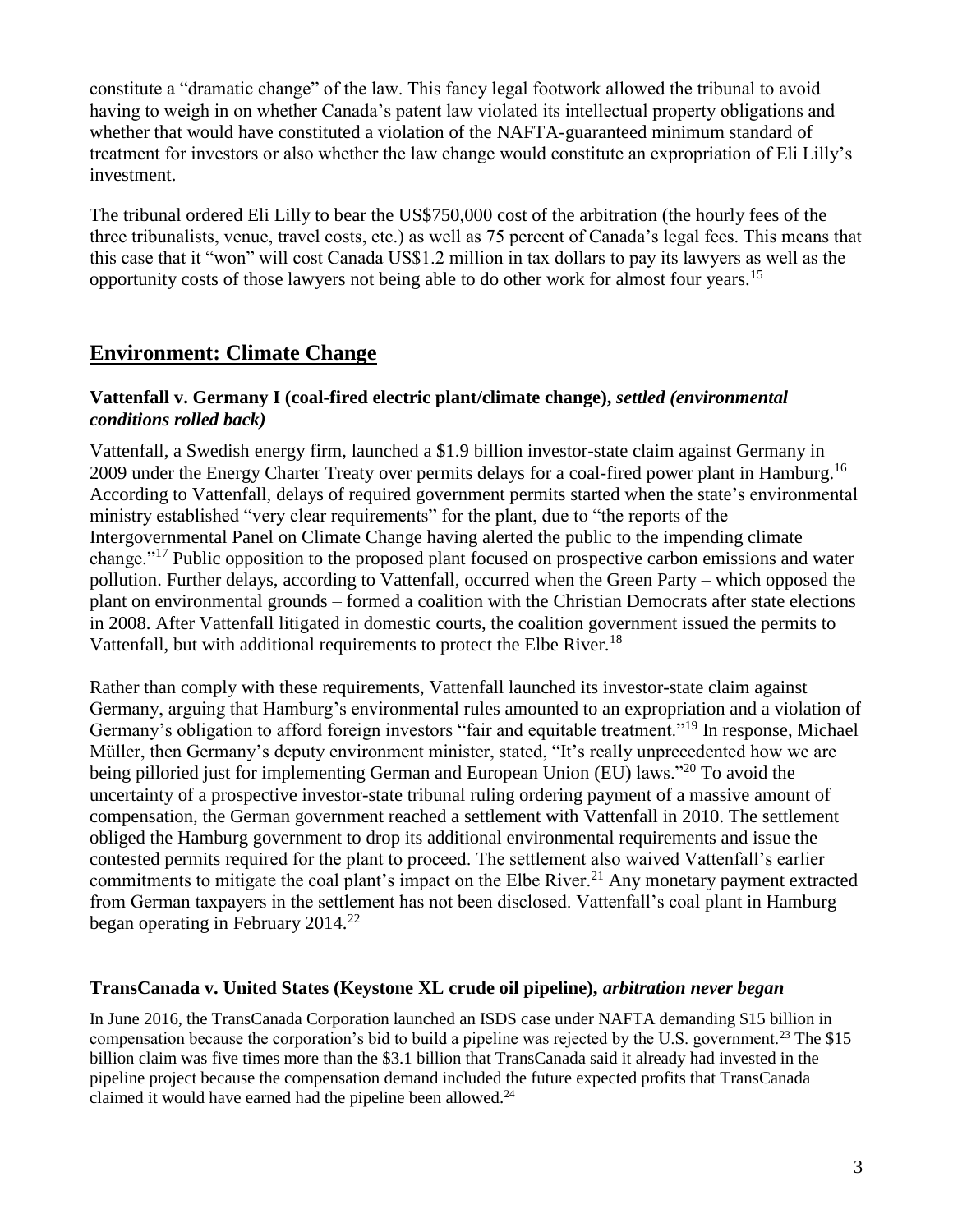constitute a "dramatic change" of the law. This fancy legal footwork allowed the tribunal to avoid having to weigh in on whether Canada's patent law violated its intellectual property obligations and whether that would have constituted a violation of the NAFTA-guaranteed minimum standard of treatment for investors or also whether the law change would constitute an expropriation of Eli Lilly's investment.

The tribunal ordered Eli Lilly to bear the US\$750,000 cost of the arbitration (the hourly fees of the three tribunalists, venue, travel costs, etc.) as well as 75 percent of Canada's legal fees. This means that this case that it "won" will cost Canada US\$1.2 million in tax dollars to pay its lawyers as well as the opportunity costs of those lawyers not being able to do other work for almost four years.<sup>15</sup>

## **Environment: Climate Change**

#### **Vattenfall v. Germany I (coal-fired electric plant/climate change),** *settled (environmental conditions rolled back)*

Vattenfall, a Swedish energy firm, launched a \$1.9 billion investor-state claim against Germany in 2009 under the Energy Charter Treaty over permits delays for a coal-fired power plant in Hamburg.<sup>16</sup> According to Vattenfall, delays of required government permits started when the state's environmental ministry established "very clear requirements" for the plant, due to "the reports of the Intergovernmental Panel on Climate Change having alerted the public to the impending climate change."<sup>17</sup> Public opposition to the proposed plant focused on prospective carbon emissions and water pollution. Further delays, according to Vattenfall, occurred when the Green Party – which opposed the plant on environmental grounds – formed a coalition with the Christian Democrats after state elections in 2008. After Vattenfall litigated in domestic courts, the coalition government issued the permits to Vattenfall, but with additional requirements to protect the Elbe River.<sup>18</sup>

Rather than comply with these requirements, Vattenfall launched its investor-state claim against Germany, arguing that Hamburg's environmental rules amounted to an expropriation and a violation of Germany's obligation to afford foreign investors "fair and equitable treatment."<sup>19</sup> In response, Michael Müller, then Germany's deputy environment minister, stated, "It's really unprecedented how we are being pilloried just for implementing German and European Union (EU) laws."<sup>20</sup> To avoid the uncertainty of a prospective investor-state tribunal ruling ordering payment of a massive amount of compensation, the German government reached a settlement with Vattenfall in 2010. The settlement obliged the Hamburg government to drop its additional environmental requirements and issue the contested permits required for the plant to proceed. The settlement also waived Vattenfall's earlier commitments to mitigate the coal plant's impact on the Elbe River.<sup>21</sup> Any monetary payment extracted from German taxpayers in the settlement has not been disclosed. Vattenfall's coal plant in Hamburg began operating in February  $2014.<sup>22</sup>$ 

#### **TransCanada v. United States (Keystone XL crude oil pipeline),** *arbitration never began*

In June 2016, the TransCanada Corporation launched an ISDS case under NAFTA demanding \$15 billion in compensation because the corporation's bid to build a pipeline was rejected by the U.S. government.<sup>23</sup> The \$15 billion claim was five times more than the \$3.1 billion that TransCanada said it already had invested in the pipeline project because the compensation demand included the future expected profits that TransCanada claimed it would have earned had the pipeline been allowed.<sup>24</sup>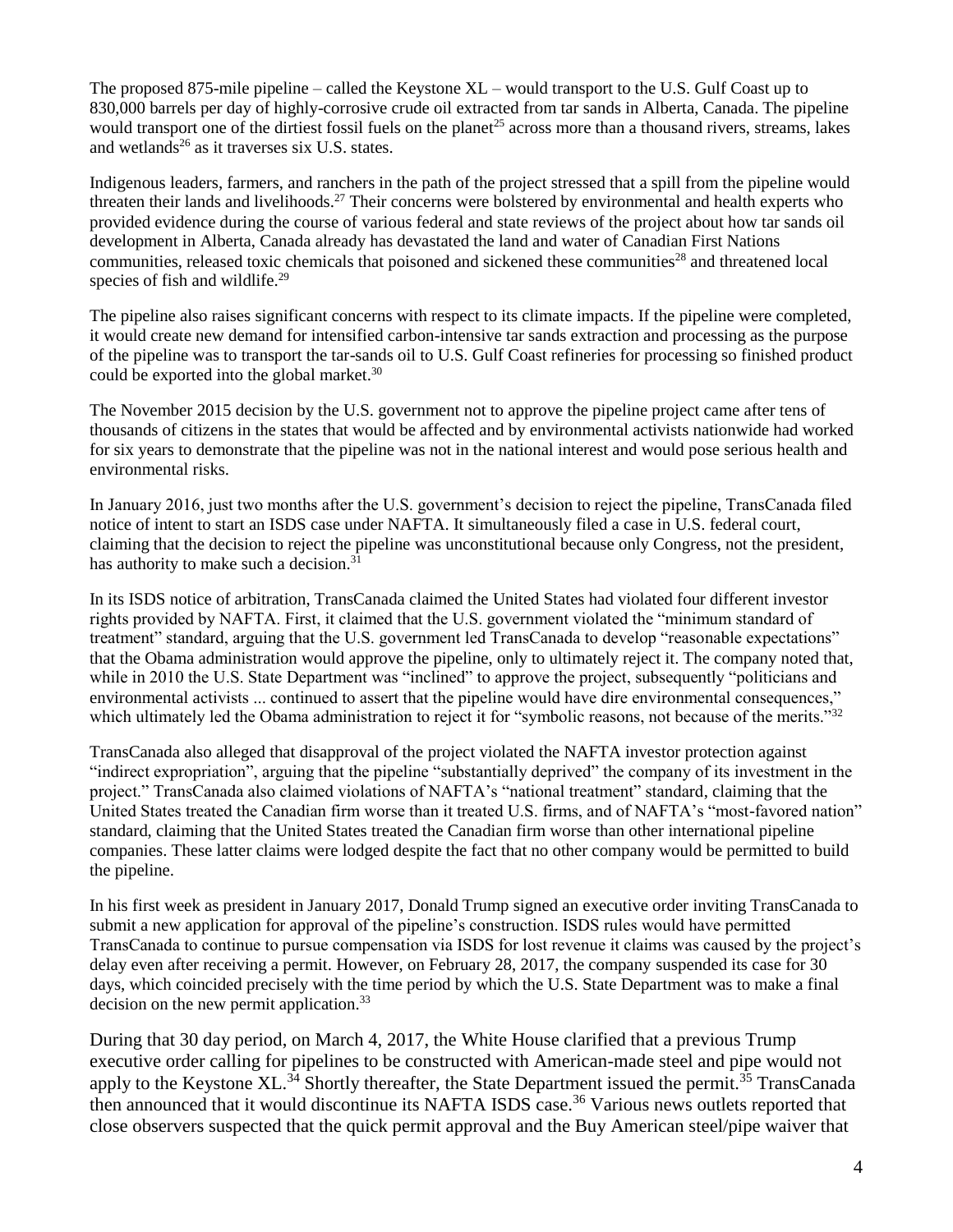The proposed 875-mile pipeline – called the Keystone XL – would transport to the U.S. Gulf Coast up to 830,000 barrels per day of highly-corrosive crude oil extracted from tar sands in Alberta, Canada. The pipeline would transport one of the dirtiest fossil fuels on the planet<sup>25</sup> across more than a thousand rivers, streams, lakes and wetlands<sup>26</sup> as it traverses six U.S. states.

Indigenous leaders, farmers, and ranchers in the path of the project stressed that a spill from the pipeline would threaten their lands and livelihoods.<sup>27</sup> Their concerns were bolstered by environmental and health experts who provided evidence during the course of various federal and state reviews of the project about how tar sands oil development in Alberta, Canada already has devastated the land and water of Canadian First Nations communities, released toxic chemicals that poisoned and sickened these communities<sup>28</sup> and threatened local species of fish and wildlife.<sup>29</sup>

The pipeline also raises significant concerns with respect to its climate impacts. If the pipeline were completed, it would create new demand for intensified carbon-intensive tar sands extraction and processing as the purpose of the pipeline was to transport the tar-sands oil to U.S. Gulf Coast refineries for processing so finished product could be exported into the global market.<sup>30</sup>

The November 2015 decision by the U.S. government not to approve the pipeline project came after tens of thousands of citizens in the states that would be affected and by environmental activists nationwide had worked for six years to demonstrate that the pipeline was not in the national interest and would pose serious health and environmental risks.

In January 2016, just two months after the U.S. government's decision to reject the pipeline, TransCanada filed notice of intent to start an ISDS case under NAFTA. It simultaneously filed a case in U.S. federal court, claiming that the decision to reject the pipeline was unconstitutional because only Congress, not the president, has authority to make such a decision.<sup>31</sup>

In its ISDS notice of arbitration, TransCanada claimed the United States had violated four different investor rights provided by NAFTA. First, it claimed that the U.S. government violated the "minimum standard of treatment" standard, arguing that the U.S. government led TransCanada to develop "reasonable expectations" that the Obama administration would approve the pipeline, only to ultimately reject it. The company noted that, while in 2010 the U.S. State Department was "inclined" to approve the project, subsequently "politicians and environmental activists ... continued to assert that the pipeline would have dire environmental consequences," which ultimately led the Obama administration to reject it for "symbolic reasons, not because of the merits."<sup>32</sup>

TransCanada also alleged that disapproval of the project violated the NAFTA investor protection against "indirect expropriation", arguing that the pipeline "substantially deprived" the company of its investment in the project." TransCanada also claimed violations of NAFTA's "national treatment" standard, claiming that the United States treated the Canadian firm worse than it treated U.S. firms, and of NAFTA's "most-favored nation" standard, claiming that the United States treated the Canadian firm worse than other international pipeline companies. These latter claims were lodged despite the fact that no other company would be permitted to build the pipeline.

In his first week as president in January 2017, Donald Trump signed an executive order inviting TransCanada to submit a new application for approval of the pipeline's construction. ISDS rules would have permitted TransCanada to continue to pursue compensation via ISDS for lost revenue it claims was caused by the project's delay even after receiving a permit. However, on February 28, 2017, the company suspended its case for 30 days, which coincided precisely with the time period by which the U.S. State Department was to make a final decision on the new permit application.<sup>33</sup>

During that 30 day period, on March 4, 2017, the White House clarified that a previous Trump executive order calling for pipelines to be constructed with American-made steel and pipe would not apply to the Keystone XL.<sup>34</sup> Shortly thereafter, the State Department issued the permit.<sup>35</sup> TransCanada then announced that it would discontinue its NAFTA ISDS case.<sup>36</sup> Various news outlets reported that close observers suspected that the quick permit approval and the Buy American steel/pipe waiver that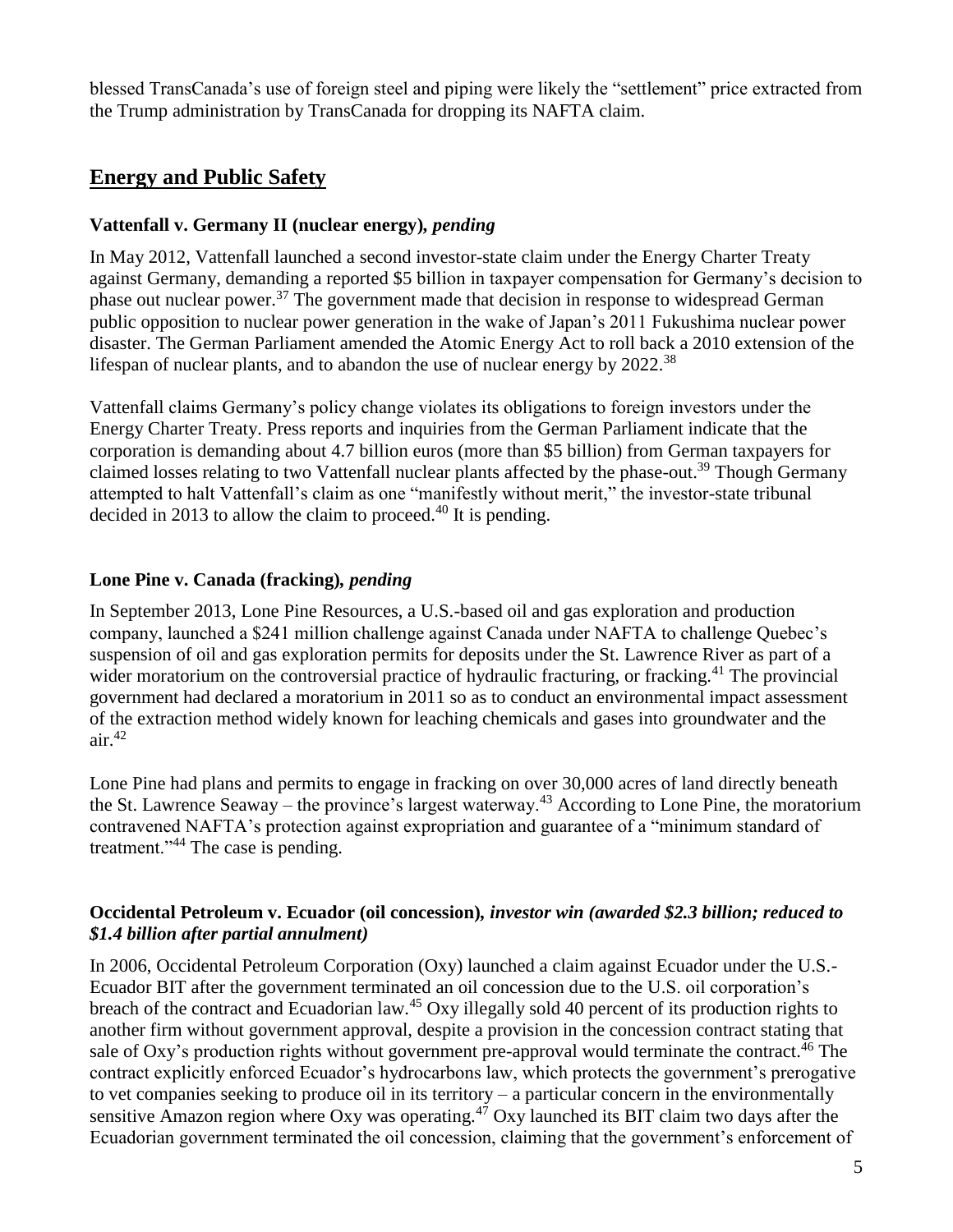blessed TransCanada's use of foreign steel and piping were likely the "settlement" price extracted from the Trump administration by TransCanada for dropping its NAFTA claim.

### **Energy and Public Safety**

#### **Vattenfall v. Germany II (nuclear energy)***, pending*

In May 2012, Vattenfall launched a second investor-state claim under the Energy Charter Treaty against Germany, demanding a reported \$5 billion in taxpayer compensation for Germany's decision to phase out nuclear power.<sup>37</sup> The government made that decision in response to widespread German public opposition to nuclear power generation in the wake of Japan's 2011 Fukushima nuclear power disaster. The German Parliament amended the Atomic Energy Act to roll back a 2010 extension of the lifespan of nuclear plants, and to abandon the use of nuclear energy by  $2022^{38}$ 

Vattenfall claims Germany's policy change violates its obligations to foreign investors under the Energy Charter Treaty. Press reports and inquiries from the German Parliament indicate that the corporation is demanding about 4.7 billion euros (more than \$5 billion) from German taxpayers for claimed losses relating to two Vattenfall nuclear plants affected by the phase-out.<sup>39</sup> Though Germany attempted to halt Vattenfall's claim as one "manifestly without merit," the investor-state tribunal decided in 2013 to allow the claim to proceed. $40$  It is pending.

#### **Lone Pine v. Canada (fracking)***, pending*

In September 2013, Lone Pine Resources, a U.S.-based oil and gas exploration and production company, launched a \$241 million challenge against Canada under NAFTA to challenge Quebec's suspension of oil and gas exploration permits for deposits under the St. Lawrence River as part of a wider moratorium on the controversial practice of hydraulic fracturing, or fracking.<sup>41</sup> The provincial government had declared a moratorium in 2011 so as to conduct an environmental impact assessment of the extraction method widely known for leaching chemicals and gases into groundwater and the  $air<sup>42</sup>$ 

Lone Pine had plans and permits to engage in fracking on over 30,000 acres of land directly beneath the St. Lawrence Seaway – the province's largest waterway.<sup>43</sup> According to Lone Pine, the moratorium contravened NAFTA's protection against expropriation and guarantee of a "minimum standard of treatment."<sup>44</sup> The case is pending.

#### **Occidental Petroleum v. Ecuador (oil concession)***, investor win (awarded \$2.3 billion; reduced to \$1.4 billion after partial annulment)*

In 2006, Occidental Petroleum Corporation (Oxy) launched a claim against Ecuador under the U.S.- Ecuador BIT after the government terminated an oil concession due to the U.S. oil corporation's breach of the contract and Ecuadorian law.<sup>45</sup> Oxy illegally sold 40 percent of its production rights to another firm without government approval, despite a provision in the concession contract stating that sale of Oxy's production rights without government pre-approval would terminate the contract.<sup>46</sup> The contract explicitly enforced Ecuador's hydrocarbons law, which protects the government's prerogative to vet companies seeking to produce oil in its territory – a particular concern in the environmentally sensitive Amazon region where Oxy was operating.<sup>47</sup> Oxy launched its BIT claim two days after the Ecuadorian government terminated the oil concession, claiming that the government's enforcement of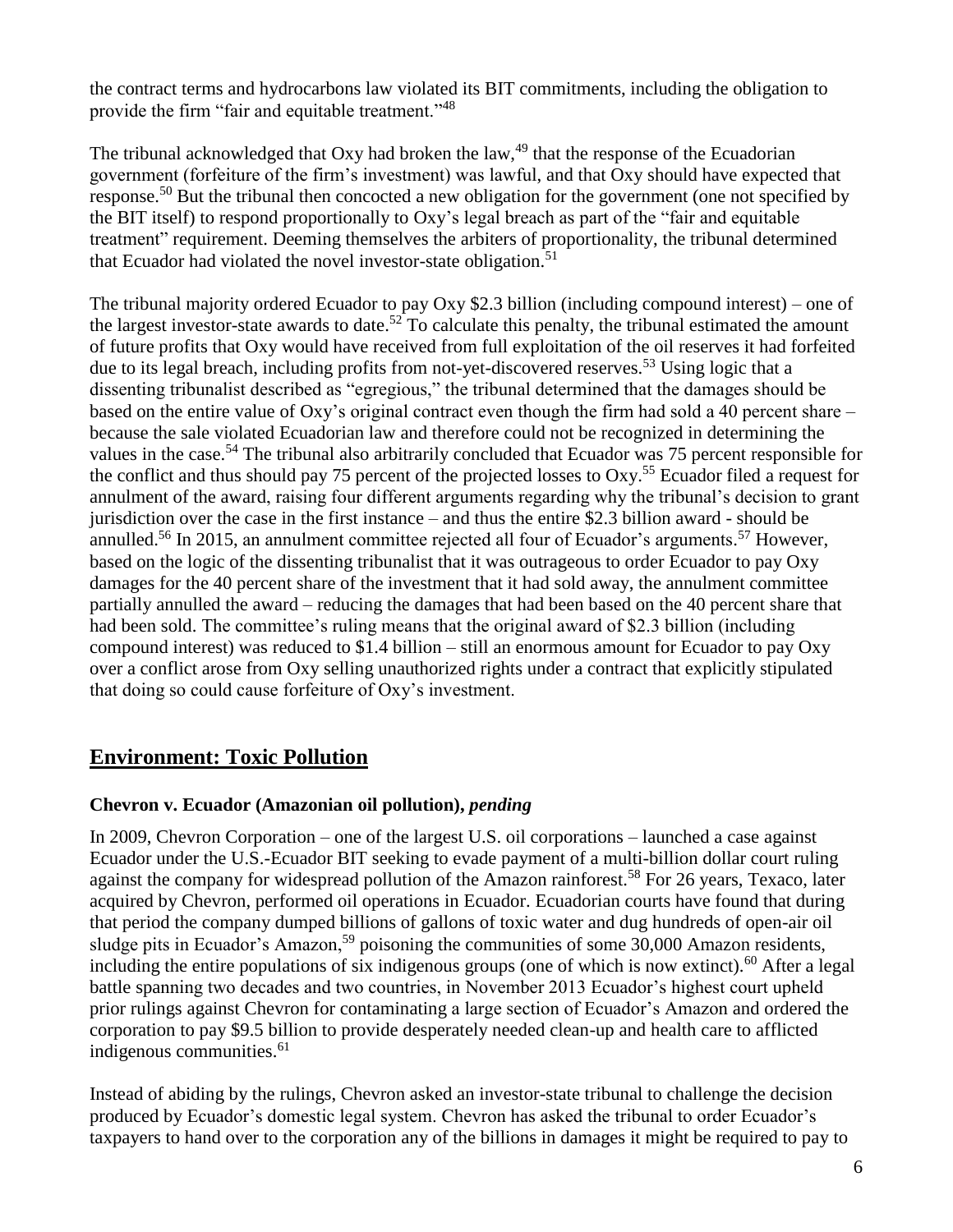the contract terms and hydrocarbons law violated its BIT commitments, including the obligation to provide the firm "fair and equitable treatment."<sup>48</sup>

The tribunal acknowledged that Oxy had broken the law,<sup>49</sup> that the response of the Ecuadorian government (forfeiture of the firm's investment) was lawful, and that Oxy should have expected that response.<sup>50</sup> But the tribunal then concocted a new obligation for the government (one not specified by the BIT itself) to respond proportionally to Oxy's legal breach as part of the "fair and equitable treatment" requirement. Deeming themselves the arbiters of proportionality, the tribunal determined that Ecuador had violated the novel investor-state obligation.<sup>51</sup>

The tribunal majority ordered Ecuador to pay Oxy \$2.3 billion (including compound interest) – one of the largest investor-state awards to date.<sup>52</sup> To calculate this penalty, the tribunal estimated the amount of future profits that Oxy would have received from full exploitation of the oil reserves it had forfeited due to its legal breach, including profits from not-yet-discovered reserves.<sup>53</sup> Using logic that a dissenting tribunalist described as "egregious," the tribunal determined that the damages should be based on the entire value of Oxy's original contract even though the firm had sold a 40 percent share – because the sale violated Ecuadorian law and therefore could not be recognized in determining the values in the case.<sup>54</sup> The tribunal also arbitrarily concluded that Ecuador was 75 percent responsible for the conflict and thus should pay 75 percent of the projected losses to Oxy.<sup>55</sup> Ecuador filed a request for annulment of the award, raising four different arguments regarding why the tribunal's decision to grant jurisdiction over the case in the first instance – and thus the entire \$2.3 billion award - should be annulled.<sup>56</sup> In 2015, an annulment committee rejected all four of Ecuador's arguments.<sup>57</sup> However, based on the logic of the dissenting tribunalist that it was outrageous to order Ecuador to pay Oxy damages for the 40 percent share of the investment that it had sold away, the annulment committee partially annulled the award – reducing the damages that had been based on the 40 percent share that had been sold. The committee's ruling means that the original award of \$2.3 billion (including compound interest) was reduced to \$1.4 billion – still an enormous amount for Ecuador to pay Oxy over a conflict arose from Oxy selling unauthorized rights under a contract that explicitly stipulated that doing so could cause forfeiture of Oxy's investment.

### **Environment: Toxic Pollution**

#### **Chevron v. Ecuador (Amazonian oil pollution),** *pending*

In 2009, Chevron Corporation – one of the largest U.S. oil corporations – launched a case against Ecuador under the U.S.-Ecuador BIT seeking to evade payment of a multi-billion dollar court ruling against the company for widespread pollution of the Amazon rainforest.<sup>58</sup> For 26 years, Texaco, later acquired by Chevron, performed oil operations in Ecuador. Ecuadorian courts have found that during that period the company dumped billions of gallons of toxic water and dug hundreds of open-air oil sludge pits in Ecuador's Amazon,<sup>59</sup> poisoning the communities of some 30,000 Amazon residents, including the entire populations of six indigenous groups (one of which is now extinct).<sup>60</sup> After a legal battle spanning two decades and two countries, in November 2013 Ecuador's highest court upheld prior rulings against Chevron for contaminating a large section of Ecuador's Amazon and ordered the corporation to pay \$9.5 billion to provide desperately needed clean-up and health care to afflicted indigenous communities.<sup>61</sup>

Instead of abiding by the rulings, Chevron asked an investor-state tribunal to challenge the decision produced by Ecuador's domestic legal system. Chevron has asked the tribunal to order Ecuador's taxpayers to hand over to the corporation any of the billions in damages it might be required to pay to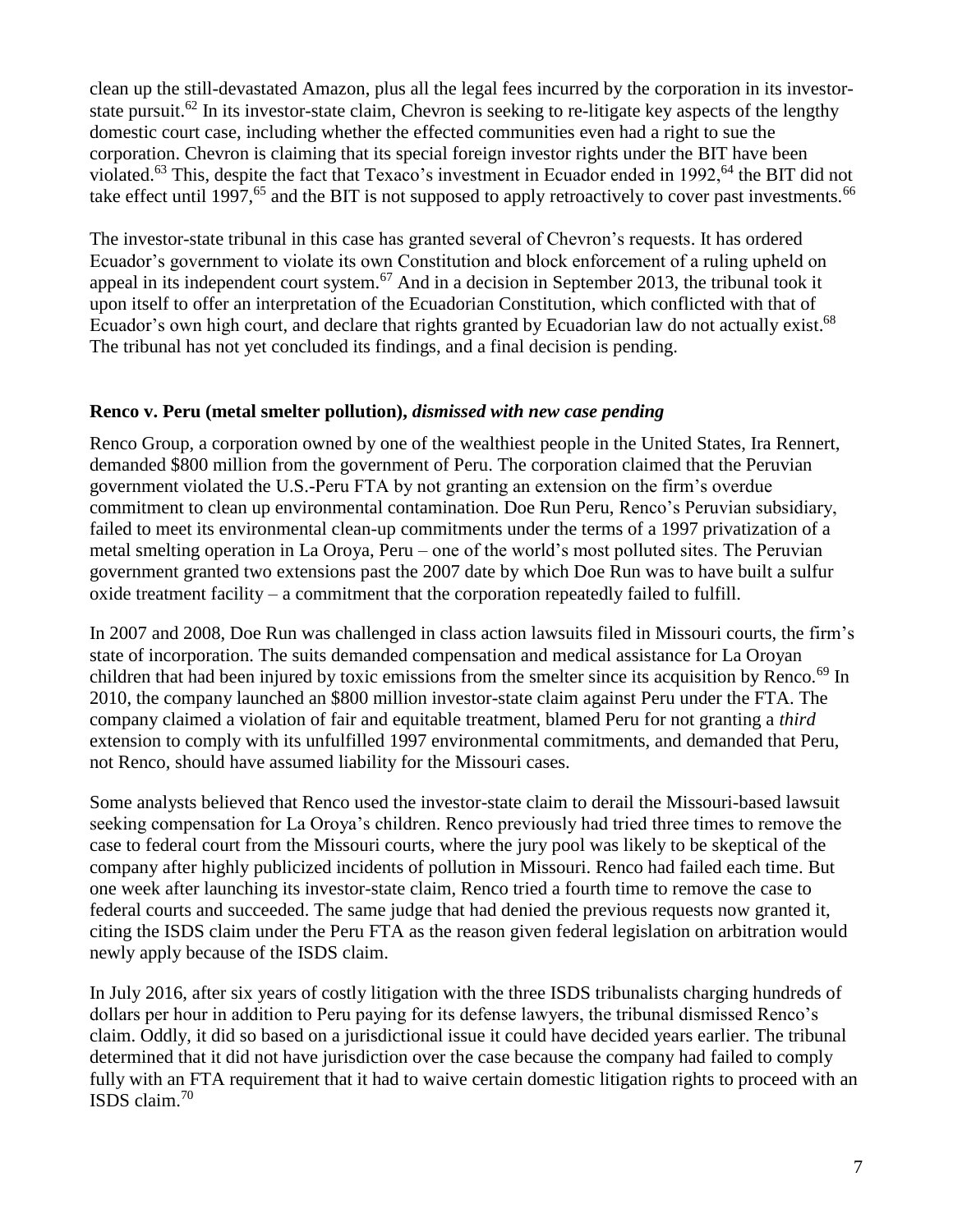clean up the still-devastated Amazon, plus all the legal fees incurred by the corporation in its investorstate pursuit.<sup>62</sup> In its investor-state claim, Chevron is seeking to re-litigate key aspects of the lengthy domestic court case, including whether the effected communities even had a right to sue the corporation. Chevron is claiming that its special foreign investor rights under the BIT have been violated.<sup>63</sup> This, despite the fact that Texaco's investment in Ecuador ended in 1992,<sup>64</sup> the BIT did not take effect until 1997,<sup>65</sup> and the BIT is not supposed to apply retroactively to cover past investments.<sup>66</sup>

The investor-state tribunal in this case has granted several of Chevron's requests. It has ordered Ecuador's government to violate its own Constitution and block enforcement of a ruling upheld on appeal in its independent court system.<sup>67</sup> And in a decision in September 2013, the tribunal took it upon itself to offer an interpretation of the Ecuadorian Constitution, which conflicted with that of Ecuador's own high court, and declare that rights granted by Ecuadorian law do not actually exist.<sup>68</sup> The tribunal has not yet concluded its findings, and a final decision is pending.

#### **Renco v. Peru (metal smelter pollution),** *dismissed with new case pending*

Renco Group, a corporation owned by one of the wealthiest people in the United States, Ira Rennert, demanded \$800 million from the government of Peru. The corporation claimed that the Peruvian government violated the U.S.-Peru FTA by not granting an extension on the firm's overdue commitment to clean up environmental contamination. Doe Run Peru, Renco's Peruvian subsidiary, failed to meet its environmental clean-up commitments under the terms of a 1997 privatization of a metal smelting operation in La Oroya, Peru – one of the world's most polluted sites. The Peruvian government granted two extensions past the 2007 date by which Doe Run was to have built a sulfur oxide treatment facility – a commitment that the corporation repeatedly failed to fulfill.

In 2007 and 2008, Doe Run was challenged in class action lawsuits filed in Missouri courts, the firm's state of incorporation. The suits demanded compensation and medical assistance for La Oroyan children that had been injured by toxic emissions from the smelter since its acquisition by Renco.<sup>69</sup> In 2010, the company launched an \$800 million investor-state claim against Peru under the FTA. The company claimed a violation of fair and equitable treatment, blamed Peru for not granting a *third* extension to comply with its unfulfilled 1997 environmental commitments, and demanded that Peru, not Renco, should have assumed liability for the Missouri cases.

Some analysts believed that Renco used the investor-state claim to derail the Missouri-based lawsuit seeking compensation for La Oroya's children. Renco previously had tried three times to remove the case to federal court from the Missouri courts, where the jury pool was likely to be skeptical of the company after highly publicized incidents of pollution in Missouri. Renco had failed each time. But one week after launching its investor-state claim, Renco tried a fourth time to remove the case to federal courts and succeeded. The same judge that had denied the previous requests now granted it, citing the ISDS claim under the Peru FTA as the reason given federal legislation on arbitration would newly apply because of the ISDS claim.

In July 2016, after six years of costly litigation with the three ISDS tribunalists charging hundreds of dollars per hour in addition to Peru paying for its defense lawyers, the tribunal dismissed Renco's claim. Oddly, it did so based on a jurisdictional issue it could have decided years earlier. The tribunal determined that it did not have jurisdiction over the case because the company had failed to comply fully with an FTA requirement that it had to waive certain domestic litigation rights to proceed with an ISDS claim.<sup>70</sup>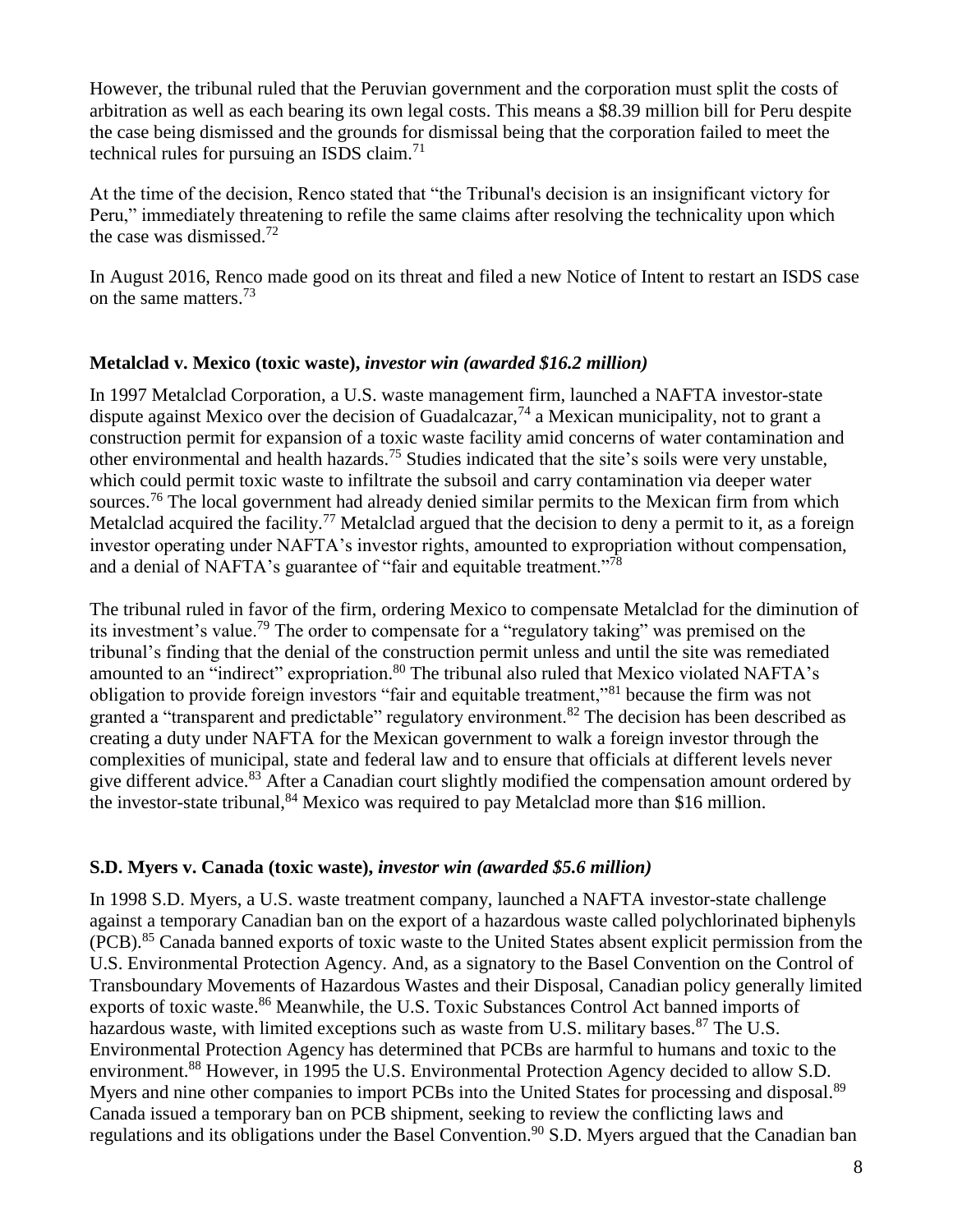However, the tribunal ruled that the Peruvian government and the corporation must split the costs of arbitration as well as each bearing its own legal costs. This means a \$8.39 million bill for Peru despite the case being dismissed and the grounds for dismissal being that the corporation failed to meet the technical rules for pursuing an ISDS claim. $<sup>71</sup>$ </sup>

At the time of the decision, Renco stated that "the Tribunal's decision is an insignificant victory for Peru," immediately threatening to refile the same claims after resolving the technicality upon which the case was dismissed.<sup>72</sup>

In August 2016, Renco made good on its threat and filed a new Notice of Intent to restart an ISDS case on the same matters.<sup>73</sup>

#### **Metalclad v. Mexico (toxic waste),** *investor win (awarded \$16.2 million)*

In 1997 Metalclad Corporation, a U.S. waste management firm, launched a NAFTA investor-state dispute against Mexico over the decision of Guadalcazar,  $^{74}$  a Mexican municipality, not to grant a construction permit for expansion of a toxic waste facility amid concerns of water contamination and other environmental and health hazards.<sup>75</sup> Studies indicated that the site's soils were very unstable, which could permit toxic waste to infiltrate the subsoil and carry contamination via deeper water sources.<sup>76</sup> The local government had already denied similar permits to the Mexican firm from which Metalclad acquired the facility.<sup>77</sup> Metalclad argued that the decision to deny a permit to it, as a foreign investor operating under NAFTA's investor rights, amounted to expropriation without compensation, and a denial of NAFTA's guarantee of "fair and equitable treatment."<sup>78</sup>

The tribunal ruled in favor of the firm, ordering Mexico to compensate Metalclad for the diminution of its investment's value.<sup>79</sup> The order to compensate for a "regulatory taking" was premised on the tribunal's finding that the denial of the construction permit unless and until the site was remediated amounted to an "indirect" expropriation.<sup>80</sup> The tribunal also ruled that Mexico violated NAFTA's obligation to provide foreign investors "fair and equitable treatment,"<sup>81</sup> because the firm was not granted a "transparent and predictable" regulatory environment.<sup>82</sup> The decision has been described as creating a duty under NAFTA for the Mexican government to walk a foreign investor through the complexities of municipal, state and federal law and to ensure that officials at different levels never give different advice.<sup>83</sup> After a Canadian court slightly modified the compensation amount ordered by the investor-state tribunal,  $84$  Mexico was required to pay Metalclad more than \$16 million.

#### **S.D. Myers v. Canada (toxic waste),** *investor win (awarded \$5.6 million)*

In 1998 S.D. Myers, a U.S. waste treatment company, launched a NAFTA investor-state challenge against a temporary Canadian ban on the export of a hazardous waste called polychlorinated biphenyls (PCB).<sup>85</sup> Canada banned exports of toxic waste to the United States absent explicit permission from the U.S. Environmental Protection Agency. And, as a signatory to the Basel Convention on the Control of Transboundary Movements of Hazardous Wastes and their Disposal, Canadian policy generally limited exports of toxic waste.<sup>86</sup> Meanwhile, the U.S. Toxic Substances Control Act banned imports of hazardous waste, with limited exceptions such as waste from U.S. military bases.<sup>87</sup> The U.S. Environmental Protection Agency has determined that PCBs are harmful to humans and toxic to the environment.<sup>88</sup> However, in 1995 the U.S. Environmental Protection Agency decided to allow S.D. Myers and nine other companies to import PCBs into the United States for processing and disposal.<sup>89</sup> Canada issued a temporary ban on PCB shipment, seeking to review the conflicting laws and regulations and its obligations under the Basel Convention.<sup>90</sup> S.D. Myers argued that the Canadian ban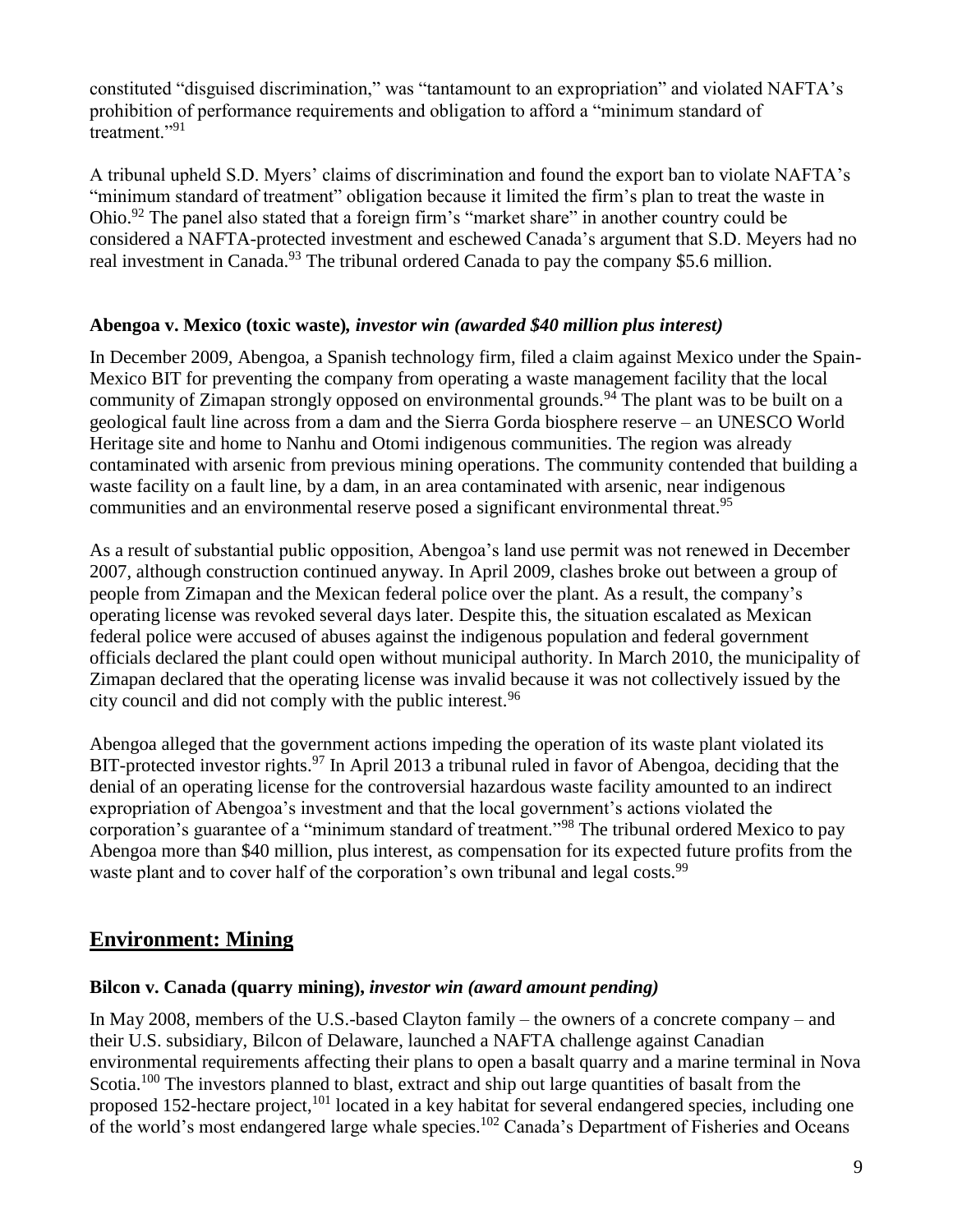constituted "disguised discrimination," was "tantamount to an expropriation" and violated NAFTA's prohibition of performance requirements and obligation to afford a "minimum standard of treatment<sup>"91</sup>

A tribunal upheld S.D. Myers' claims of discrimination and found the export ban to violate NAFTA's "minimum standard of treatment" obligation because it limited the firm's plan to treat the waste in Ohio.<sup>92</sup> The panel also stated that a foreign firm's "market share" in another country could be considered a NAFTA-protected investment and eschewed Canada's argument that S.D. Meyers had no real investment in Canada.<sup>93</sup> The tribunal ordered Canada to pay the company \$5.6 million.

#### **Abengoa v. Mexico (toxic waste)***, investor win (awarded \$40 million plus interest)*

In December 2009, Abengoa, a Spanish technology firm, filed a claim against Mexico under the Spain-Mexico BIT for preventing the company from operating a waste management facility that the local community of Zimapan strongly opposed on environmental grounds.<sup>94</sup> The plant was to be built on a geological fault line across from a dam and the Sierra Gorda biosphere reserve – an UNESCO World Heritage site and home to Nanhu and Otomi indigenous communities. The region was already contaminated with arsenic from previous mining operations. The community contended that building a waste facility on a fault line, by a dam, in an area contaminated with arsenic, near indigenous communities and an environmental reserve posed a significant environmental threat.<sup>95</sup>

As a result of substantial public opposition, Abengoa's land use permit was not renewed in December 2007, although construction continued anyway. In April 2009, clashes broke out between a group of people from Zimapan and the Mexican federal police over the plant. As a result, the company's operating license was revoked several days later. Despite this, the situation escalated as Mexican federal police were accused of abuses against the indigenous population and federal government officials declared the plant could open without municipal authority. In March 2010, the municipality of Zimapan declared that the operating license was invalid because it was not collectively issued by the city council and did not comply with the public interest.<sup>96</sup>

Abengoa alleged that the government actions impeding the operation of its waste plant violated its BIT-protected investor rights.<sup>97</sup> In April 2013 a tribunal ruled in favor of Abengoa, deciding that the denial of an operating license for the controversial hazardous waste facility amounted to an indirect expropriation of Abengoa's investment and that the local government's actions violated the corporation's guarantee of a "minimum standard of treatment."<sup>98</sup> The tribunal ordered Mexico to pay Abengoa more than \$40 million, plus interest, as compensation for its expected future profits from the waste plant and to cover half of the corporation's own tribunal and legal costs.<sup>99</sup>

### **Environment: Mining**

#### **Bilcon v. Canada (quarry mining),** *investor win (award amount pending)*

In May 2008, members of the U.S.-based Clayton family – the owners of a concrete company – and their U.S. subsidiary, Bilcon of Delaware, launched a NAFTA challenge against Canadian environmental requirements affecting their plans to open a basalt quarry and a marine terminal in Nova Scotia.<sup>100</sup> The investors planned to blast, extract and ship out large quantities of basalt from the proposed 152-hectare project,<sup>101</sup> located in a key habitat for several endangered species, including one of the world's most endangered large whale species.<sup>102</sup> Canada's Department of Fisheries and Oceans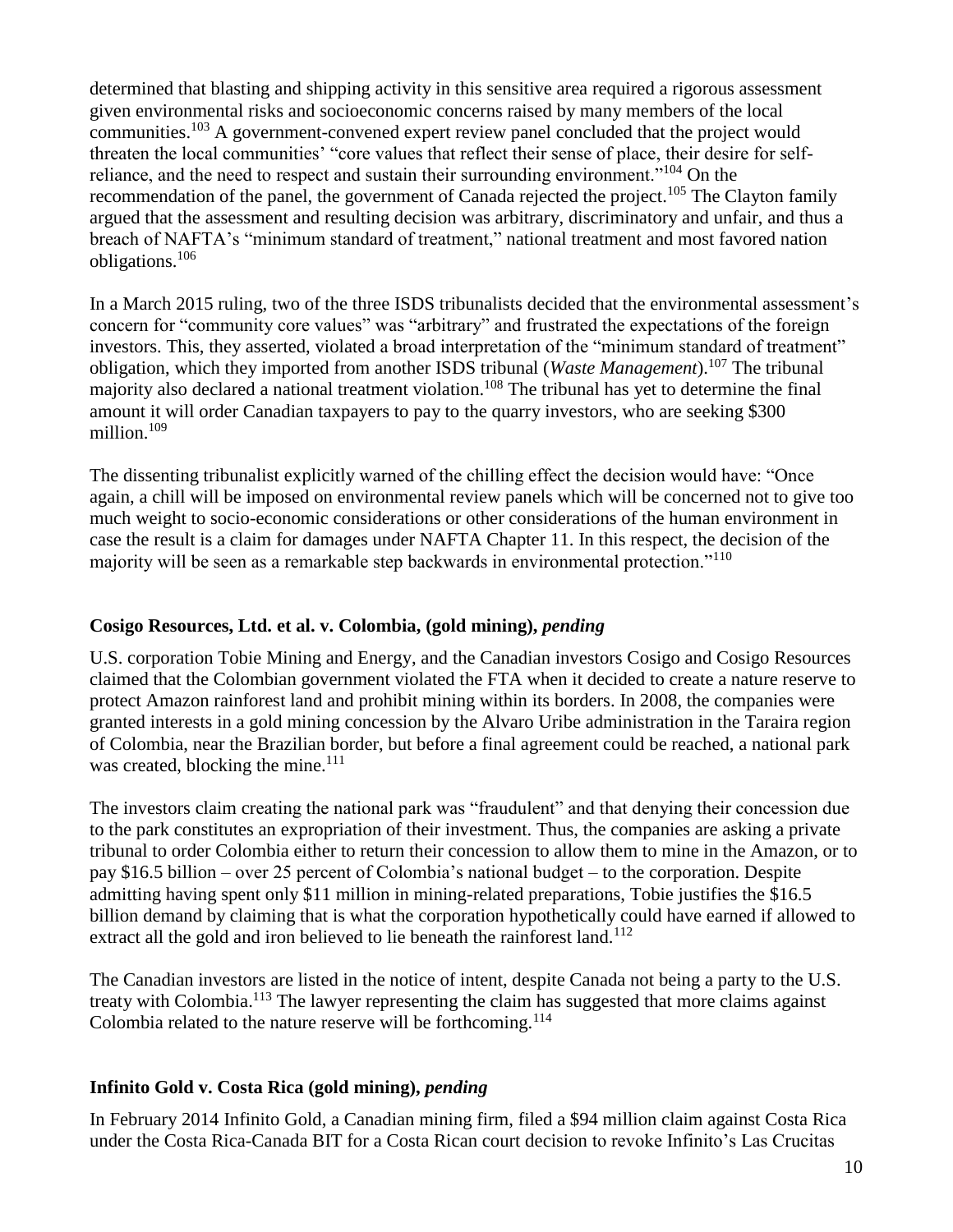determined that blasting and shipping activity in this sensitive area required a rigorous assessment given environmental risks and socioeconomic concerns raised by many members of the local communities.<sup>103</sup> A government-convened expert review panel concluded that the project would threaten the local communities' "core values that reflect their sense of place, their desire for selfreliance, and the need to respect and sustain their surrounding environment."<sup>104</sup> On the recommendation of the panel, the government of Canada rejected the project.<sup>105</sup> The Clayton family argued that the assessment and resulting decision was arbitrary, discriminatory and unfair, and thus a breach of NAFTA's "minimum standard of treatment," national treatment and most favored nation obligations.<sup>106</sup>

In a March 2015 ruling, two of the three ISDS tribunalists decided that the environmental assessment's concern for "community core values" was "arbitrary" and frustrated the expectations of the foreign investors. This, they asserted, violated a broad interpretation of the "minimum standard of treatment" obligation, which they imported from another ISDS tribunal (*Waste Management*).<sup>107</sup> The tribunal majority also declared a national treatment violation.<sup>108</sup> The tribunal has yet to determine the final amount it will order Canadian taxpayers to pay to the quarry investors, who are seeking \$300 million $109$ 

The dissenting tribunalist explicitly warned of the chilling effect the decision would have: "Once again, a chill will be imposed on environmental review panels which will be concerned not to give too much weight to socio-economic considerations or other considerations of the human environment in case the result is a claim for damages under NAFTA Chapter 11. In this respect, the decision of the majority will be seen as a remarkable step backwards in environmental protection."<sup>110</sup>

#### **Cosigo Resources, Ltd. et al. v. Colombia, (gold mining),** *pending*

U.S. corporation Tobie Mining and Energy, and the Canadian investors Cosigo and Cosigo Resources claimed that the Colombian government violated the FTA when it decided to create a nature reserve to protect Amazon rainforest land and prohibit mining within its borders. In 2008, the companies were granted interests in a gold mining concession by the Alvaro Uribe administration in the Taraira region of Colombia, near the Brazilian border, but before a final agreement could be reached, a national park was created, blocking the mine.<sup>111</sup>

The investors claim creating the national park was "fraudulent" and that denying their concession due to the park constitutes an expropriation of their investment. Thus, the companies are asking a private tribunal to order Colombia either to return their concession to allow them to mine in the Amazon, or to pay \$16.5 billion – over 25 percent of Colombia's national budget – to the corporation. Despite admitting having spent only \$11 million in mining-related preparations, Tobie justifies the \$16.5 billion demand by claiming that is what the corporation hypothetically could have earned if allowed to extract all the gold and iron believed to lie beneath the rainforest land.<sup>112</sup>

The Canadian investors are listed in the notice of intent, despite Canada not being a party to the U.S. treaty with Colombia.<sup>113</sup> The lawyer representing the claim has suggested that more claims against Colombia related to the nature reserve will be forthcoming.<sup>114</sup>

#### **Infinito Gold v. Costa Rica (gold mining),** *pending*

In February 2014 Infinito Gold, a Canadian mining firm, filed a \$94 million claim against Costa Rica under the Costa Rica-Canada BIT for a Costa Rican court decision to revoke Infinito's Las Crucitas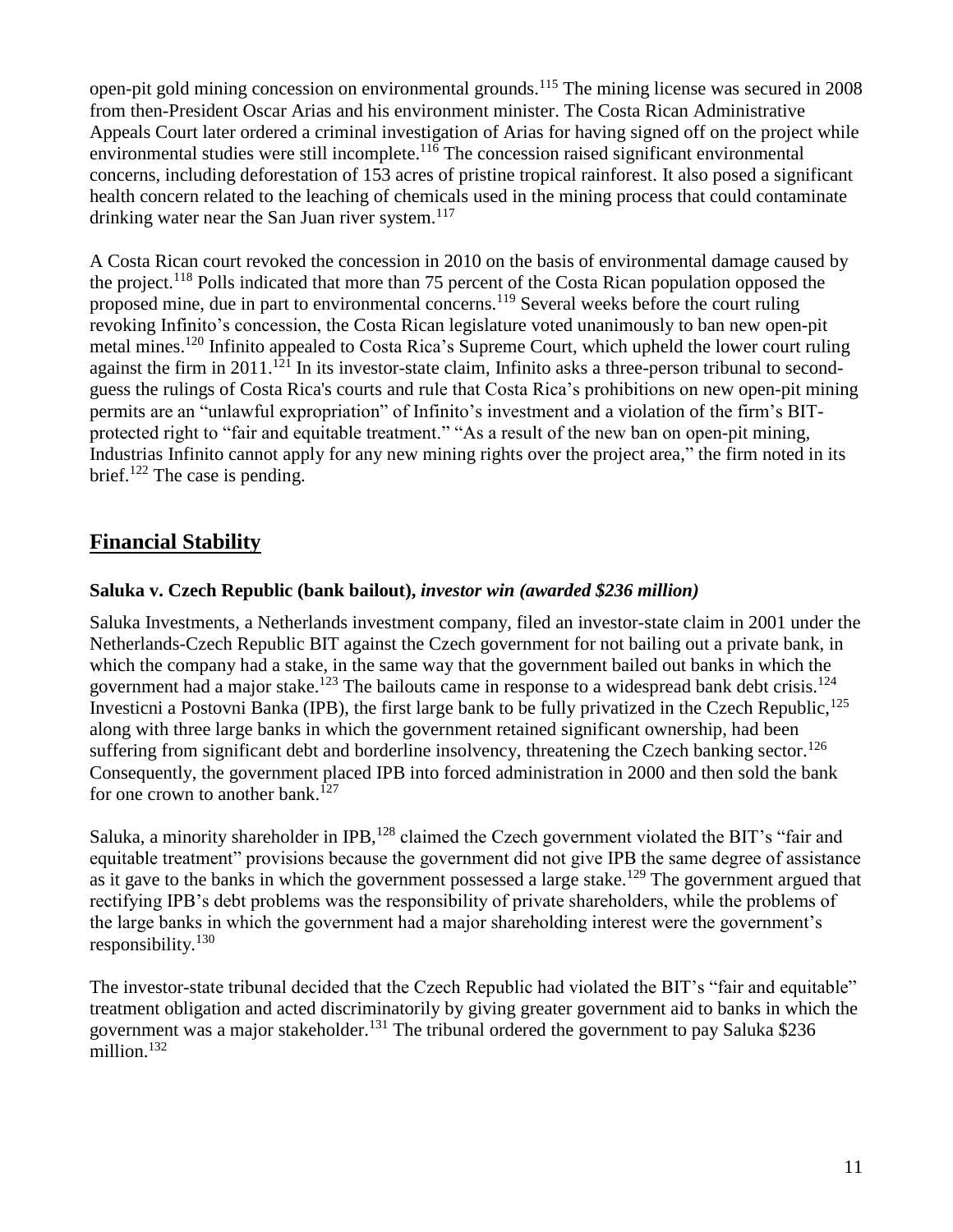open-pit gold mining concession on environmental grounds.<sup>115</sup> The mining license was secured in 2008 from then-President Oscar Arias and his environment minister. The Costa Rican Administrative Appeals Court later ordered a criminal investigation of Arias for having signed off on the project while environmental studies were still incomplete. $11\overline{6}$  The concession raised significant environmental concerns, including deforestation of 153 acres of pristine tropical rainforest. It also posed a significant health concern related to the leaching of chemicals used in the mining process that could contaminate drinking water near the San Juan river system. $117$ 

A Costa Rican court revoked the concession in 2010 on the basis of environmental damage caused by the project.<sup>118</sup> Polls indicated that more than 75 percent of the Costa Rican population opposed the proposed mine, due in part to environmental concerns.<sup>119</sup> Several weeks before the court ruling revoking Infinito's concession, the Costa Rican legislature voted unanimously to ban new open-pit metal mines.<sup>120</sup> Infinito appealed to Costa Rica's Supreme Court, which upheld the lower court ruling against the firm in  $2011$ <sup> $121$ </sup> In its investor-state claim, Infinito asks a three-person tribunal to secondguess the rulings of Costa Rica's courts and rule that Costa Rica's prohibitions on new open-pit mining permits are an "unlawful expropriation" of Infinito's investment and a violation of the firm's BITprotected right to "fair and equitable treatment." "As a result of the new ban on open-pit mining, Industrias Infinito cannot apply for any new mining rights over the project area," the firm noted in its brief.<sup>122</sup> The case is pending.

## **Financial Stability**

#### **Saluka v. Czech Republic (bank bailout),** *investor win (awarded \$236 million)*

Saluka Investments, a Netherlands investment company, filed an investor-state claim in 2001 under the Netherlands-Czech Republic BIT against the Czech government for not bailing out a private bank, in which the company had a stake, in the same way that the government bailed out banks in which the government had a major stake.<sup>123</sup> The bailouts came in response to a widespread bank debt crisis.<sup>124</sup> Investicni a Postovni Banka (IPB), the first large bank to be fully privatized in the Czech Republic,<sup>125</sup> along with three large banks in which the government retained significant ownership, had been suffering from significant debt and borderline insolvency, threatening the Czech banking sector.<sup>126</sup> Consequently, the government placed IPB into forced administration in 2000 and then sold the bank for one crown to another bank.<sup>127</sup>

Saluka, a minority shareholder in IPB,<sup>128</sup> claimed the Czech government violated the BIT's "fair and equitable treatment" provisions because the government did not give IPB the same degree of assistance as it gave to the banks in which the government possessed a large stake.<sup>129</sup> The government argued that rectifying IPB's debt problems was the responsibility of private shareholders, while the problems of the large banks in which the government had a major shareholding interest were the government's responsibility. $130$ 

The investor-state tribunal decided that the Czech Republic had violated the BIT's "fair and equitable" treatment obligation and acted discriminatorily by giving greater government aid to banks in which the government was a major stakeholder.<sup>131</sup> The tribunal ordered the government to pay Saluka \$236 million.<sup>132</sup>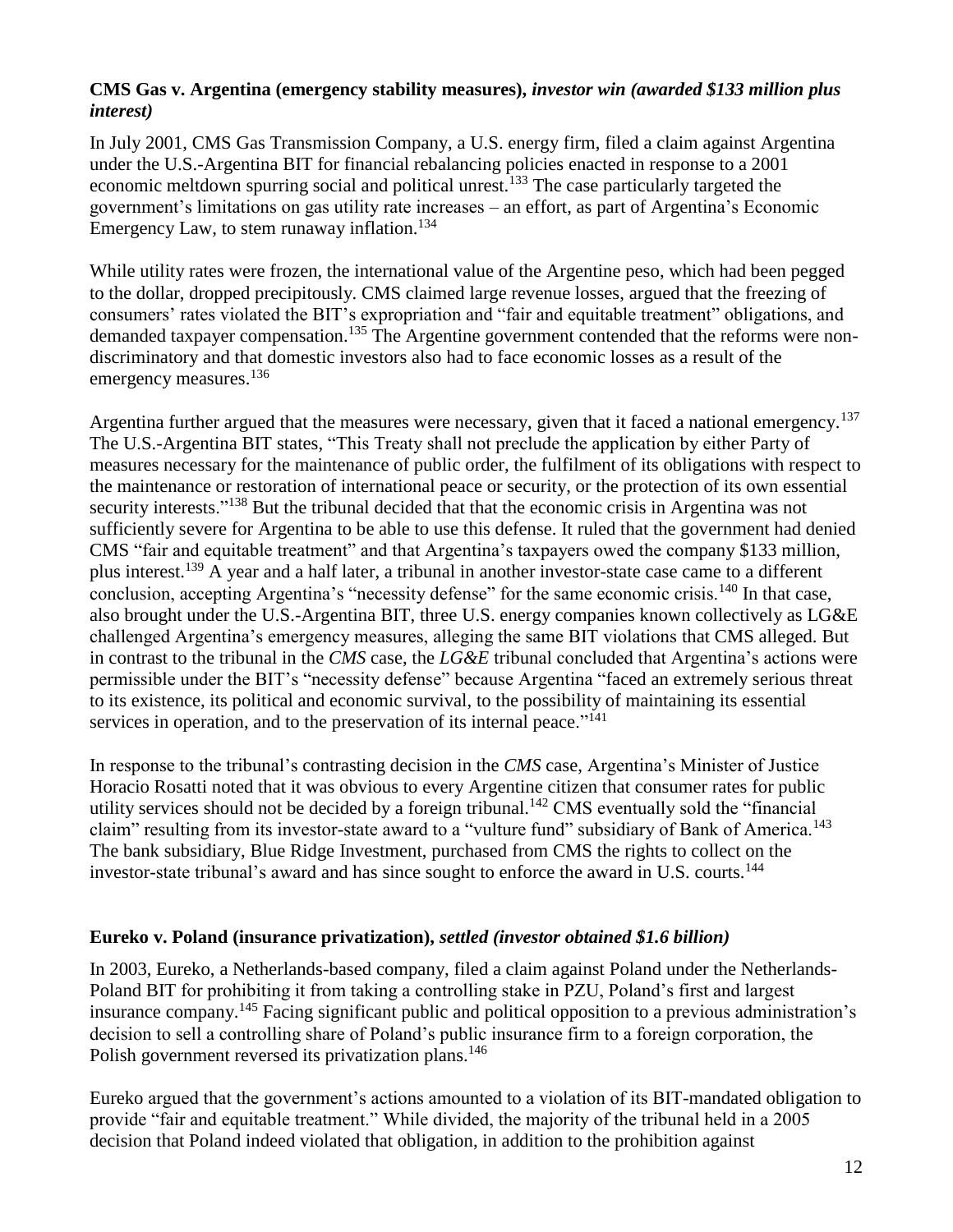#### **CMS Gas v. Argentina (emergency stability measures),** *investor win (awarded \$133 million plus interest)*

In July 2001, CMS Gas Transmission Company, a U.S. energy firm, filed a claim against Argentina under the U.S.-Argentina BIT for financial rebalancing policies enacted in response to a 2001 economic meltdown spurring social and political unrest.<sup>133</sup> The case particularly targeted the government's limitations on gas utility rate increases – an effort, as part of Argentina's Economic Emergency Law, to stem runaway inflation.<sup>134</sup>

While utility rates were frozen, the international value of the Argentine peso, which had been pegged to the dollar, dropped precipitously. CMS claimed large revenue losses, argued that the freezing of consumers' rates violated the BIT's expropriation and "fair and equitable treatment" obligations, and demanded taxpayer compensation.<sup>135</sup> The Argentine government contended that the reforms were nondiscriminatory and that domestic investors also had to face economic losses as a result of the emergency measures.<sup>136</sup>

Argentina further argued that the measures were necessary, given that it faced a national emergency.<sup>137</sup> The U.S.-Argentina BIT states, "This Treaty shall not preclude the application by either Party of measures necessary for the maintenance of public order, the fulfilment of its obligations with respect to the maintenance or restoration of international peace or security, or the protection of its own essential security interests."<sup>138</sup> But the tribunal decided that that the economic crisis in Argentina was not sufficiently severe for Argentina to be able to use this defense. It ruled that the government had denied CMS "fair and equitable treatment" and that Argentina's taxpayers owed the company \$133 million, plus interest.<sup>139</sup> A year and a half later, a tribunal in another investor-state case came to a different conclusion, accepting Argentina's "necessity defense" for the same economic crisis.<sup>140</sup> In that case, also brought under the U.S.-Argentina BIT, three U.S. energy companies known collectively as LG&E challenged Argentina's emergency measures, alleging the same BIT violations that CMS alleged. But in contrast to the tribunal in the *CMS* case, the *LG&E* tribunal concluded that Argentina's actions were permissible under the BIT's "necessity defense" because Argentina "faced an extremely serious threat to its existence, its political and economic survival, to the possibility of maintaining its essential services in operation, and to the preservation of its internal peace."<sup>141</sup>

In response to the tribunal's contrasting decision in the *CMS* case, Argentina's Minister of Justice Horacio Rosatti noted that it was obvious to every Argentine citizen that consumer rates for public utility services should not be decided by a foreign tribunal.<sup>142</sup> CMS eventually sold the "financial" claim" resulting from its investor-state award to a "vulture fund" subsidiary of Bank of America.<sup>143</sup> The bank subsidiary, Blue Ridge Investment, purchased from CMS the rights to collect on the investor-state tribunal's award and has since sought to enforce the award in U.S. courts.<sup>144</sup>

#### **Eureko v. Poland (insurance privatization),** *settled (investor obtained \$1.6 billion)*

In 2003, Eureko, a Netherlands-based company, filed a claim against Poland under the Netherlands-Poland BIT for prohibiting it from taking a controlling stake in PZU, Poland's first and largest insurance company.<sup>145</sup> Facing significant public and political opposition to a previous administration's decision to sell a controlling share of Poland's public insurance firm to a foreign corporation, the Polish government reversed its privatization plans.<sup>146</sup>

Eureko argued that the government's actions amounted to a violation of its BIT-mandated obligation to provide "fair and equitable treatment." While divided, the majority of the tribunal held in a 2005 decision that Poland indeed violated that obligation, in addition to the prohibition against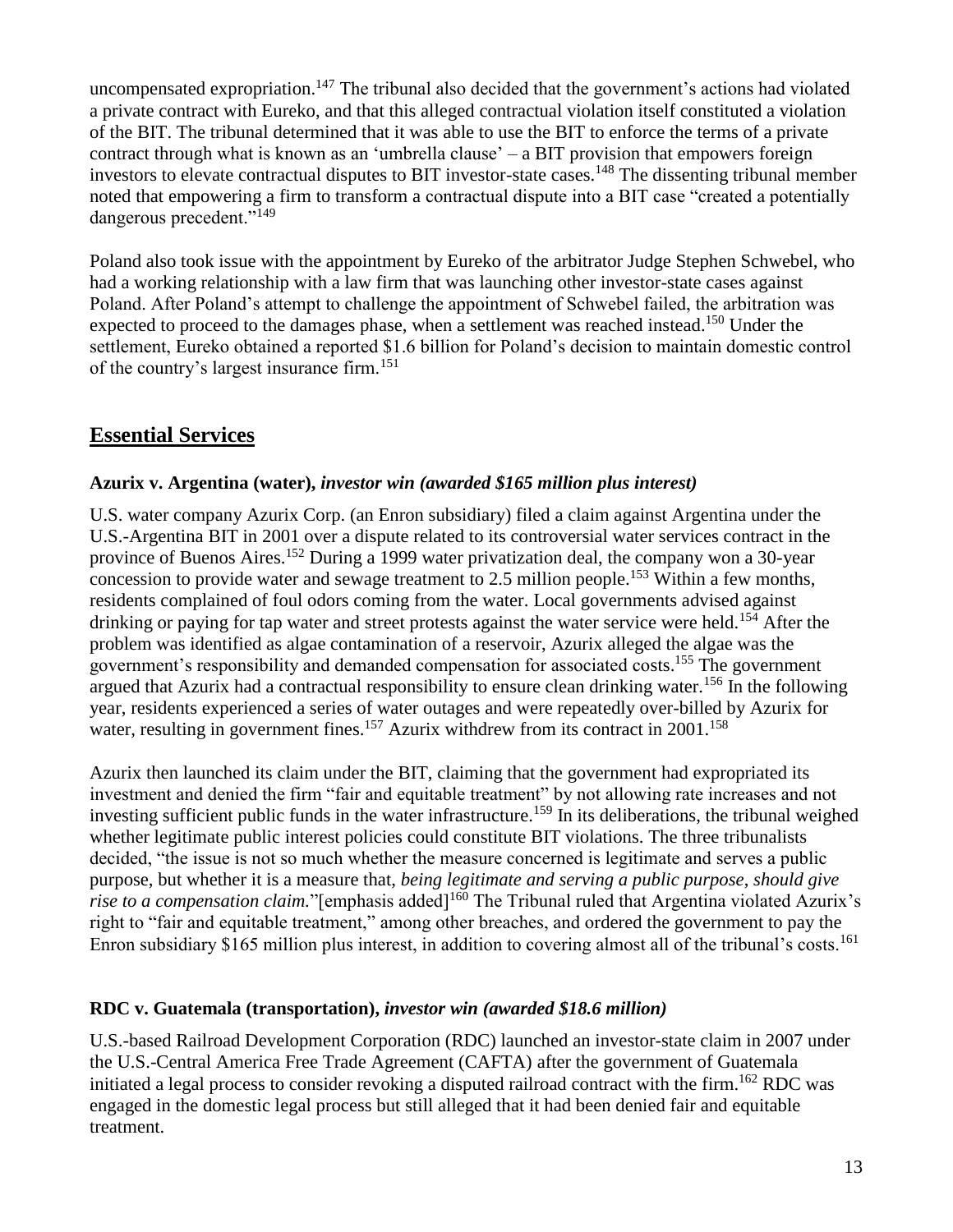uncompensated expropriation.<sup>147</sup> The tribunal also decided that the government's actions had violated a private contract with Eureko, and that this alleged contractual violation itself constituted a violation of the BIT. The tribunal determined that it was able to use the BIT to enforce the terms of a private contract through what is known as an 'umbrella clause' – a BIT provision that empowers foreign investors to elevate contractual disputes to BIT investor-state cases.<sup>148</sup> The dissenting tribunal member noted that empowering a firm to transform a contractual dispute into a BIT case "created a potentially dangerous precedent."<sup>149</sup>

Poland also took issue with the appointment by Eureko of the arbitrator Judge Stephen Schwebel, who had a working relationship with a law firm that was launching other investor-state cases against Poland. After Poland's attempt to challenge the appointment of Schwebel failed, the arbitration was expected to proceed to the damages phase, when a settlement was reached instead.<sup>150</sup> Under the settlement, Eureko obtained a reported \$1.6 billion for Poland's decision to maintain domestic control of the country's largest insurance firm.<sup>151</sup>

## **Essential Services**

### **Azurix v. Argentina (water),** *investor win (awarded \$165 million plus interest)*

U.S. water company Azurix Corp. (an Enron subsidiary) filed a claim against Argentina under the U.S.-Argentina BIT in 2001 over a dispute related to its controversial water services contract in the province of Buenos Aires.<sup>152</sup> During a 1999 water privatization deal, the company won a 30-year concession to provide water and sewage treatment to 2.5 million people.<sup>153</sup> Within a few months, residents complained of foul odors coming from the water. Local governments advised against drinking or paying for tap water and street protests against the water service were held.<sup>154</sup> After the problem was identified as algae contamination of a reservoir, Azurix alleged the algae was the government's responsibility and demanded compensation for associated costs. <sup>155</sup> The government argued that Azurix had a contractual responsibility to ensure clean drinking water.<sup>156</sup> In the following year, residents experienced a series of water outages and were repeatedly over-billed by Azurix for water, resulting in government fines.<sup>157</sup> Azurix withdrew from its contract in  $2001$ .<sup>158</sup>

Azurix then launched its claim under the BIT, claiming that the government had expropriated its investment and denied the firm "fair and equitable treatment" by not allowing rate increases and not investing sufficient public funds in the water infrastructure.<sup>159</sup> In its deliberations, the tribunal weighed whether legitimate public interest policies could constitute BIT violations. The three tribunalists decided, "the issue is not so much whether the measure concerned is legitimate and serves a public purpose, but whether it is a measure that, *being legitimate and serving a public purpose*, *should give rise to a compensation claim.*"[emphasis added]<sup>160</sup> The Tribunal ruled that Argentina violated Azurix's right to "fair and equitable treatment," among other breaches, and ordered the government to pay the Enron subsidiary \$165 million plus interest, in addition to covering almost all of the tribunal's costs.<sup>161</sup>

### **RDC v. Guatemala (transportation),** *investor win (awarded \$18.6 million)*

U.S.-based Railroad Development Corporation (RDC) launched an investor-state claim in 2007 under the U.S.-Central America Free Trade Agreement (CAFTA) after the government of Guatemala initiated a legal process to consider revoking a disputed railroad contract with the firm. <sup>162</sup> RDC was engaged in the domestic legal process but still alleged that it had been denied fair and equitable treatment.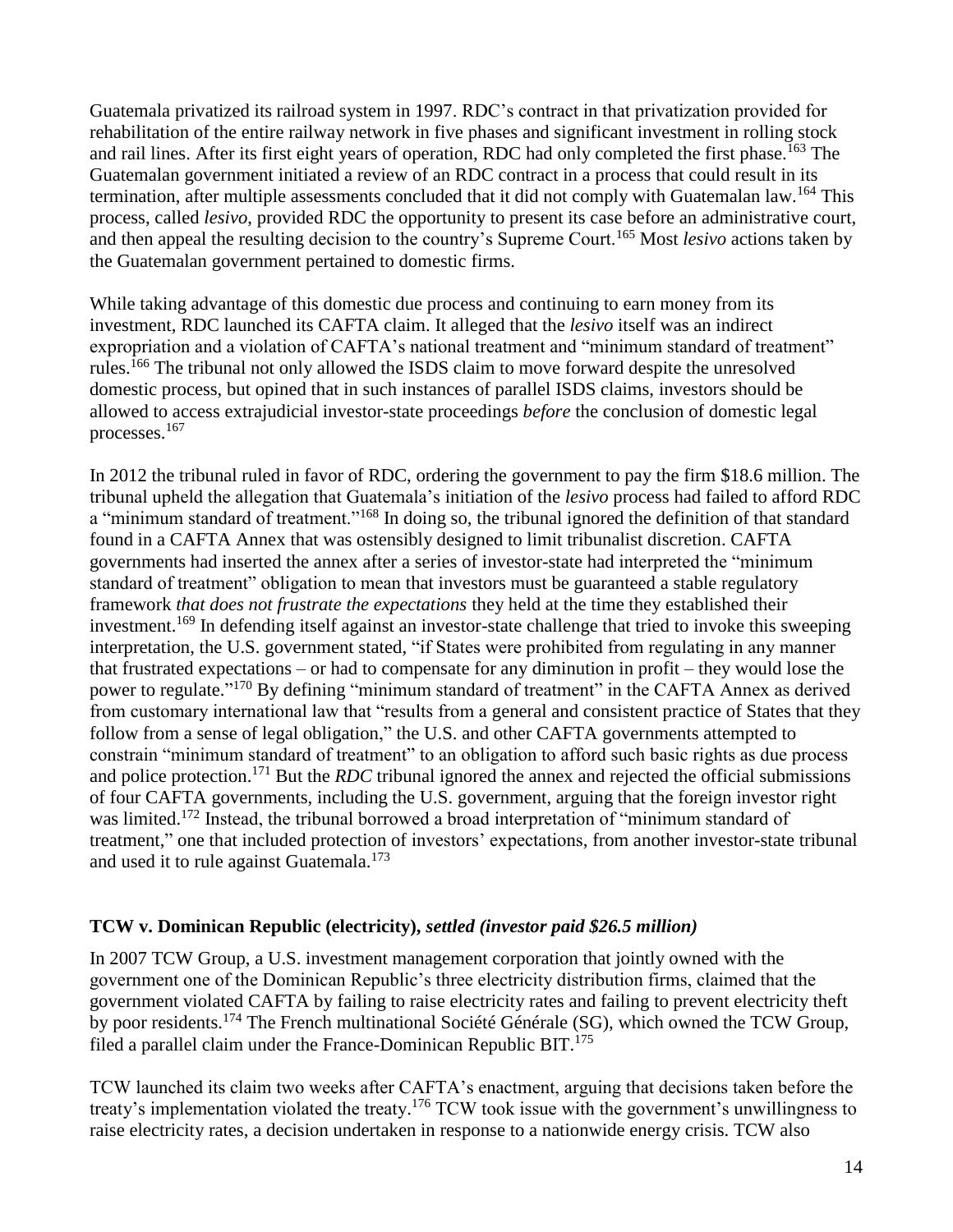Guatemala privatized its railroad system in 1997. RDC's contract in that privatization provided for rehabilitation of the entire railway network in five phases and significant investment in rolling stock and rail lines. After its first eight years of operation, RDC had only completed the first phase.<sup>163</sup> The Guatemalan government initiated a review of an RDC contract in a process that could result in its termination, after multiple assessments concluded that it did not comply with Guatemalan law.<sup>164</sup> This process, called *lesivo*, provided RDC the opportunity to present its case before an administrative court, and then appeal the resulting decision to the country's Supreme Court.<sup>165</sup> Most *lesivo* actions taken by the Guatemalan government pertained to domestic firms.

While taking advantage of this domestic due process and continuing to earn money from its investment, RDC launched its CAFTA claim. It alleged that the *lesivo* itself was an indirect expropriation and a violation of CAFTA's national treatment and "minimum standard of treatment" rules.<sup>166</sup> The tribunal not only allowed the ISDS claim to move forward despite the unresolved domestic process, but opined that in such instances of parallel ISDS claims, investors should be allowed to access extrajudicial investor-state proceedings *before* the conclusion of domestic legal processes.<sup>167</sup>

In 2012 the tribunal ruled in favor of RDC, ordering the government to pay the firm \$18.6 million. The tribunal upheld the allegation that Guatemala's initiation of the *lesivo* process had failed to afford RDC a "minimum standard of treatment."<sup>168</sup> In doing so, the tribunal ignored the definition of that standard found in a CAFTA Annex that was ostensibly designed to limit tribunalist discretion. CAFTA governments had inserted the annex after a series of investor-state had interpreted the "minimum standard of treatment" obligation to mean that investors must be guaranteed a stable regulatory framework *that does not frustrate the expectations* they held at the time they established their investment.<sup>169</sup> In defending itself against an investor-state challenge that tried to invoke this sweeping interpretation, the U.S. government stated, "if States were prohibited from regulating in any manner that frustrated expectations – or had to compensate for any diminution in profit – they would lose the power to regulate."<sup>170</sup> By defining "minimum standard of treatment" in the CAFTA Annex as derived from customary international law that "results from a general and consistent practice of States that they follow from a sense of legal obligation," the U.S. and other CAFTA governments attempted to constrain "minimum standard of treatment" to an obligation to afford such basic rights as due process and police protection.<sup>171</sup> But the *RDC* tribunal ignored the annex and rejected the official submissions of four CAFTA governments, including the U.S. government, arguing that the foreign investor right was limited.<sup>172</sup> Instead, the tribunal borrowed a broad interpretation of "minimum standard of treatment," one that included protection of investors' expectations, from another investor-state tribunal and used it to rule against Guatemala.<sup>173</sup>

#### **TCW v. Dominican Republic (electricity),** *settled (investor paid \$26.5 million)*

In 2007 TCW Group, a U.S. investment management corporation that jointly owned with the government one of the Dominican Republic's three electricity distribution firms, claimed that the government violated CAFTA by failing to raise electricity rates and failing to prevent electricity theft by poor residents.<sup>174</sup> The French multinational Société Générale (SG), which owned the TCW Group, filed a parallel claim under the France-Dominican Republic BIT.<sup>175</sup>

TCW launched its claim two weeks after CAFTA's enactment, arguing that decisions taken before the treaty's implementation violated the treaty.<sup>176</sup> TCW took issue with the government's unwillingness to raise electricity rates, a decision undertaken in response to a nationwide energy crisis. TCW also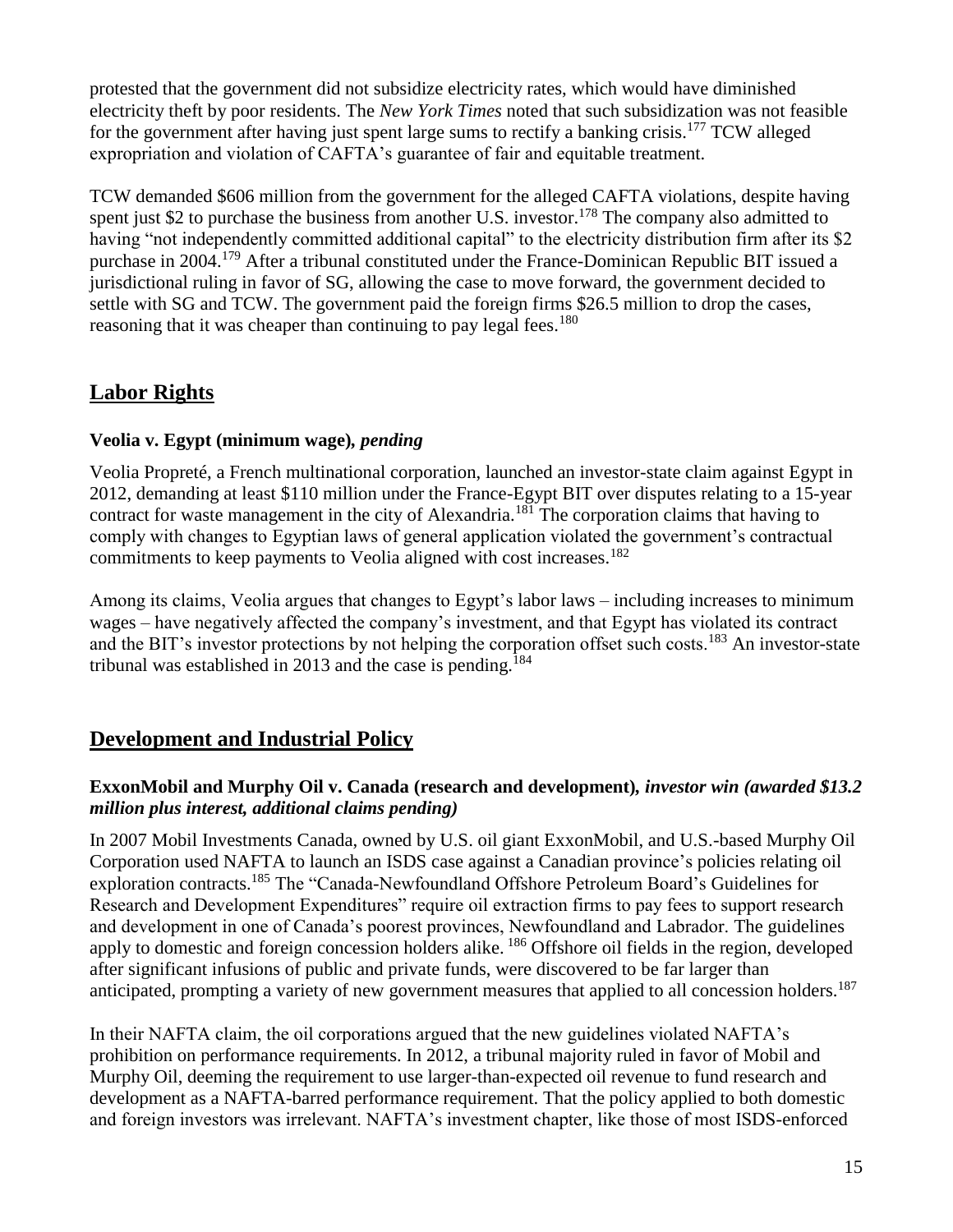protested that the government did not subsidize electricity rates, which would have diminished electricity theft by poor residents. The *New York Times* noted that such subsidization was not feasible for the government after having just spent large sums to rectify a banking crisis.<sup>177</sup> TCW alleged expropriation and violation of CAFTA's guarantee of fair and equitable treatment.

TCW demanded \$606 million from the government for the alleged CAFTA violations, despite having spent just \$2 to purchase the business from another U.S. investor.<sup>178</sup> The company also admitted to having "not independently committed additional capital" to the electricity distribution firm after its \$2 purchase in 2004.<sup>179</sup> After a tribunal constituted under the France-Dominican Republic BIT issued a jurisdictional ruling in favor of SG, allowing the case to move forward, the government decided to settle with SG and TCW. The government paid the foreign firms \$26.5 million to drop the cases, reasoning that it was cheaper than continuing to pay legal fees.<sup>180</sup>

## **Labor Rights**

#### **Veolia v. Egypt (minimum wage)***, pending*

Veolia Propreté, a French multinational corporation, launched an investor-state claim against Egypt in 2012, demanding at least \$110 million under the France-Egypt BIT over disputes relating to a 15-year contract for waste management in the city of Alexandria.<sup>181</sup> The corporation claims that having to comply with changes to Egyptian laws of general application violated the government's contractual commitments to keep payments to Veolia aligned with cost increases.<sup>182</sup>

Among its claims, Veolia argues that changes to Egypt's labor laws – including increases to minimum wages – have negatively affected the company's investment, and that Egypt has violated its contract and the BIT's investor protections by not helping the corporation offset such costs.<sup>183</sup> An investor-state tribunal was established in 2013 and the case is pending.<sup>184</sup>

## **Development and Industrial Policy**

#### **ExxonMobil and Murphy Oil v. Canada (research and development)***, investor win (awarded \$13.2 million plus interest, additional claims pending)*

In 2007 Mobil Investments Canada, owned by U.S. oil giant ExxonMobil, and U.S.-based Murphy Oil Corporation used NAFTA to launch an ISDS case against a Canadian province's policies relating oil exploration contracts.<sup>185</sup> The "Canada-Newfoundland Offshore Petroleum Board's Guidelines for Research and Development Expenditures" require oil extraction firms to pay fees to support research and development in one of Canada's poorest provinces, Newfoundland and Labrador. The guidelines apply to domestic and foreign concession holders alike. <sup>186</sup> Offshore oil fields in the region, developed after significant infusions of public and private funds, were discovered to be far larger than anticipated, prompting a variety of new government measures that applied to all concession holders.<sup>187</sup>

In their NAFTA claim, the oil corporations argued that the new guidelines violated NAFTA's prohibition on performance requirements. In 2012, a tribunal majority ruled in favor of Mobil and Murphy Oil, deeming the requirement to use larger-than-expected oil revenue to fund research and development as a NAFTA-barred performance requirement. That the policy applied to both domestic and foreign investors was irrelevant. NAFTA's investment chapter, like those of most ISDS-enforced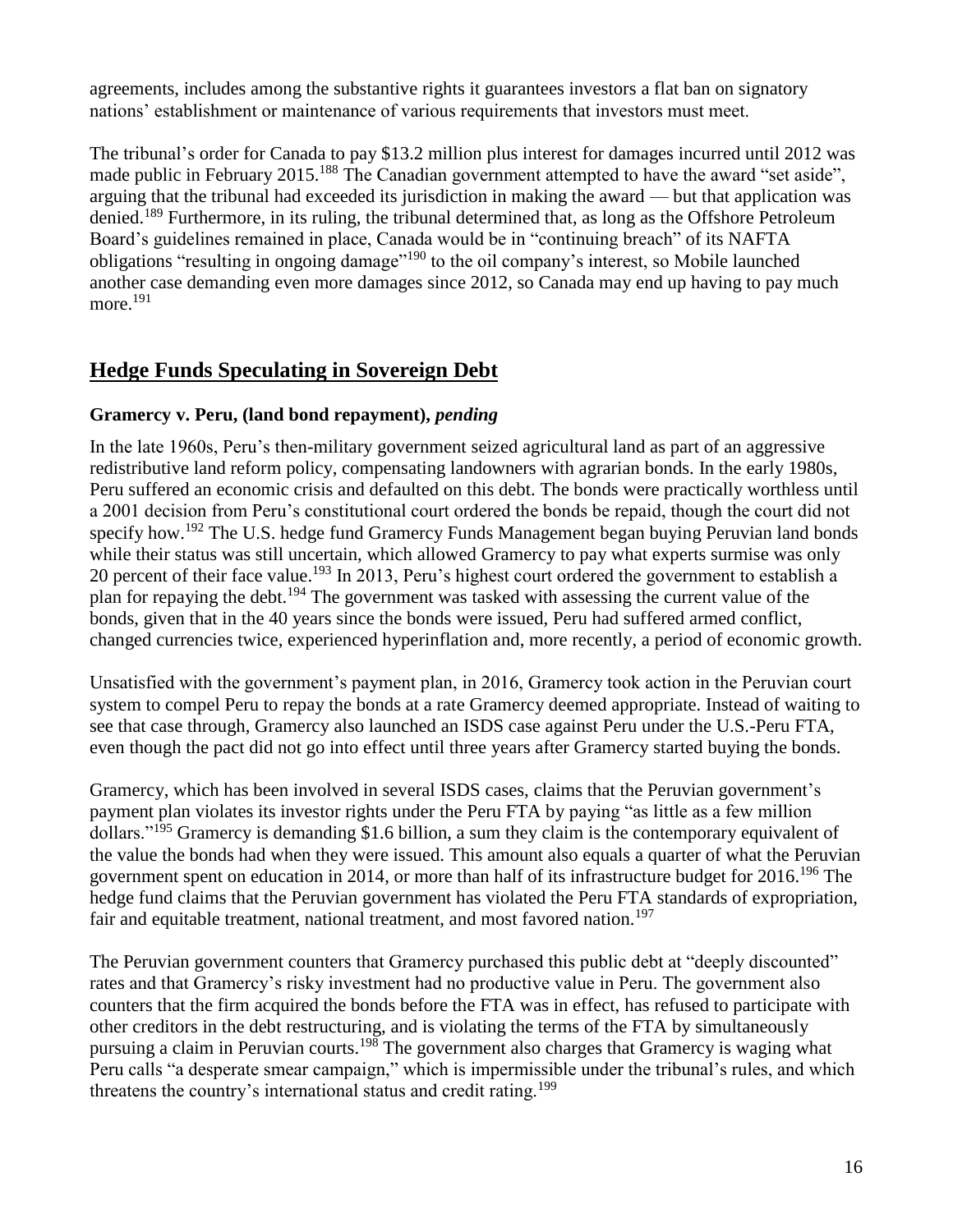agreements, includes among the substantive rights it guarantees investors a flat ban on signatory nations' establishment or maintenance of various requirements that investors must meet.

The tribunal's order for Canada to pay \$13.2 million plus interest for damages incurred until 2012 was made public in February 2015.<sup>188</sup> The Canadian government attempted to have the award "set aside", arguing that the tribunal had exceeded its jurisdiction in making the award — but that application was denied.<sup>189</sup> Furthermore, in its ruling, the tribunal determined that, as long as the Offshore Petroleum Board's guidelines remained in place, Canada would be in "continuing breach" of its NAFTA obligations "resulting in ongoing damage"<sup>190</sup> to the oil company's interest, so Mobile launched another case demanding even more damages since 2012, so Canada may end up having to pay much more.<sup>191</sup>

### **Hedge Funds Speculating in Sovereign Debt**

#### **Gramercy v. Peru, (land bond repayment),** *pending*

In the late 1960s, Peru's then-military government seized agricultural land as part of an aggressive redistributive land reform policy, compensating landowners with agrarian bonds. In the early 1980s, Peru suffered an economic crisis and defaulted on this debt. The bonds were practically worthless until a 2001 decision from Peru's constitutional court ordered the bonds be repaid, though the court did not specify how.<sup>192</sup> The U.S. hedge fund Gramercy Funds Management began buying Peruvian land bonds while their status was still uncertain, which allowed Gramercy to pay what experts surmise was only 20 percent of their face value.<sup>193</sup> In 2013, Peru's highest court ordered the government to establish a plan for repaying the debt.<sup>194</sup> The government was tasked with assessing the current value of the bonds, given that in the 40 years since the bonds were issued, Peru had suffered armed conflict, changed currencies twice, experienced hyperinflation and, more recently, a period of economic growth.

Unsatisfied with the government's payment plan, in 2016, Gramercy took action in the Peruvian court system to compel Peru to repay the bonds at a rate Gramercy deemed appropriate. Instead of waiting to see that case through, Gramercy also launched an ISDS case against Peru under the U.S.-Peru FTA, even though the pact did not go into effect until three years after Gramercy started buying the bonds.

Gramercy, which has been involved in several ISDS cases, claims that the Peruvian government's payment plan violates its investor rights under the Peru FTA by paying "as little as a few million dollars." $195$  Gramercy is demanding \$1.6 billion, a sum they claim is the contemporary equivalent of the value the bonds had when they were issued. This amount also equals a quarter of what the Peruvian government spent on education in 2014, or more than half of its infrastructure budget for 2016.<sup>196</sup> The hedge fund claims that the Peruvian government has violated the Peru FTA standards of expropriation, fair and equitable treatment, national treatment, and most favored nation.<sup>197</sup>

The Peruvian government counters that Gramercy purchased this public debt at "deeply discounted" rates and that Gramercy's risky investment had no productive value in Peru. The government also counters that the firm acquired the bonds before the FTA was in effect, has refused to participate with other creditors in the debt restructuring, and is violating the terms of the FTA by simultaneously pursuing a claim in Peruvian courts.<sup>198</sup> The government also charges that Gramercy is waging what Peru calls "a desperate smear campaign," which is impermissible under the tribunal's rules, and which threatens the country's international status and credit rating.<sup>199</sup>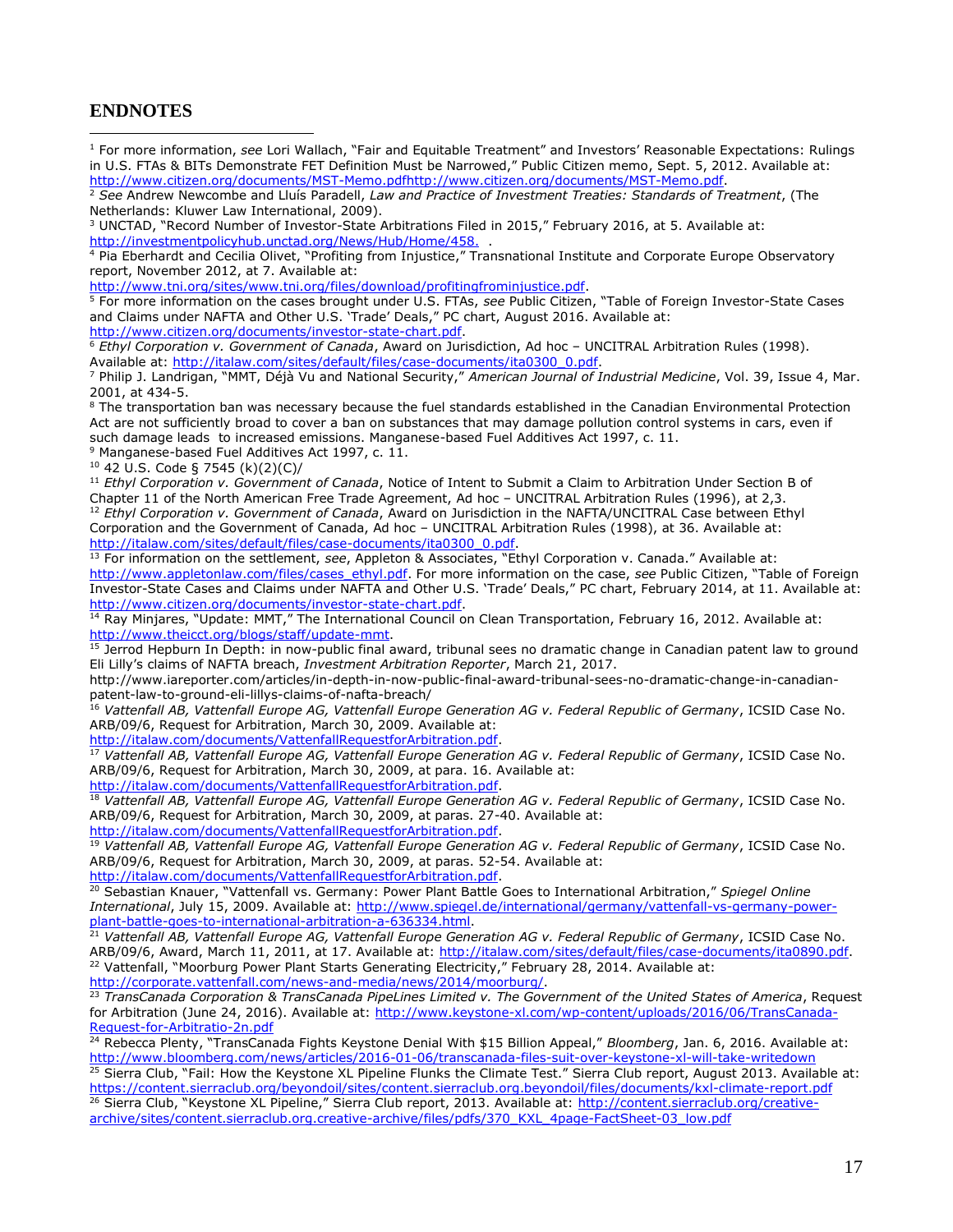#### **ENDNOTES**

 $\overline{a}$ 

<sup>1</sup> For more information, *see* Lori Wallach, "Fair and Equitable Treatment" and Investors' Reasonable Expectations: Rulings in U.S. FTAs & BITs Demonstrate FET Definition Must be Narrowed," Public Citizen memo, Sept. 5, 2012. Available at: [http://www.citizen.org/documents/MST-Memo.pdfhttp://www.citizen.org/documents/MST-Memo.pdf.](http://www.citizen.org/documents/MST-Memo.pdf)

<sup>5</sup> For more information on the cases brought under U.S. FTAs, *see* Public Citizen, "Table of Foreign Investor-State Cases and Claims under NAFTA and Other U.S. 'Trade' Deals," PC chart, August 2016. Available at: [http://www.citizen.org/documents/investor-state-chart.pdf.](http://www.citizen.org/documents/investor-state-chart.pdf)

<sup>6</sup> *Ethyl Corporation v. Government of Canada*, Award on Jurisdiction, Ad hoc – UNCITRAL Arbitration Rules (1998). Available at: [http://italaw.com/sites/default/files/case-documents/ita0300\\_0.pdf.](http://italaw.com/sites/default/files/case-documents/ita0300_0.pdf)

<sup>7</sup> Philip J. Landrigan, "MMT, Déjà Vu and National Security," *American Journal of Industrial Medicine*, Vol. 39, Issue 4, Mar. 2001, at 434-5.

<sup>8</sup> The transportation ban was necessary because the fuel standards established in the Canadian Environmental Protection Act are not sufficiently broad to cover a ban on substances that may damage pollution control systems in cars, even if such damage leads to increased emissions. Manganese-based Fuel Additives Act 1997, c. 11.

<sup>9</sup> Manganese-based Fuel Additives Act 1997, c. 11.

<sup>10</sup> 42 U.S. Code § 7545 (k)(2)(C)/

<sup>11</sup> *Ethyl Corporation v. Government of Canada*, Notice of Intent to Submit a Claim to Arbitration Under Section B of Chapter 11 of the North American Free Trade Agreement, Ad hoc – UNCITRAL Arbitration Rules (1996), at 2,3. <sup>12</sup> *Ethyl Corporation v. Government of Canada*, Award on Jurisdiction in the NAFTA/UNCITRAL Case between Ethyl Corporation and the Government of Canada, Ad hoc – UNCITRAL Arbitration Rules (1998), at 36. Available at: [http://italaw.com/sites/default/files/case-documents/ita0300\\_0.pdf.](http://italaw.com/sites/default/files/case-documents/ita0300_0.pdf)

<sup>13</sup> For information on the settlement, *see*, Appleton & Associates, "Ethyl Corporation v. Canada." Available at: http://www.appletonlaw.com/files/cases\_ethyl.pdf</u>. For more information on the case, see Public Citizen, "Table of Foreign Investor-State Cases and Claims under NAFTA and Other U.S. 'Trade' Deals," PC chart, February 2014, at 11. Available at: [http://www.citizen.org/documents/investor-state-chart.pdf.](http://www.citizen.org/documents/investor-state-chart.pdf)

<sup>14</sup> Ray Minjares, "Update: MMT," The International Council on Clean Transportation, February 16, 2012. Available at: [http://www.theicct.org/blogs/staff/update-mmt.](http://www.theicct.org/blogs/staff/update-mmt)

<sup>15</sup> Jerrod Hepburn In Depth: in now-public final award, tribunal sees no dramatic change in Canadian patent law to ground Eli Lilly's claims of NAFTA breach, *Investment Arbitration Reporter*, March 21, 2017.

http://www.iareporter.com/articles/in-depth-in-now-public-final-award-tribunal-sees-no-dramatic-change-in-canadianpatent-law-to-ground-eli-lillys-claims-of-nafta-breach/

<sup>16</sup> *Vattenfall AB, Vattenfall Europe AG, Vattenfall Europe Generation AG v. Federal Republic of Germany*, ICSID Case No. ARB/09/6, Request for Arbitration, March 30, 2009. Available at:

[http://italaw.com/documents/VattenfallRequestforArbitration.pdf.](http://italaw.com/documents/VattenfallRequestforArbitration.pdf)

<sup>17</sup> *Vattenfall AB, Vattenfall Europe AG, Vattenfall Europe Generation AG v. Federal Republic of Germany*, ICSID Case No. ARB/09/6, Request for Arbitration, March 30, 2009, at para. 16. Available at: [http://italaw.com/documents/VattenfallRequestforArbitration.pdf.](http://italaw.com/documents/VattenfallRequestforArbitration.pdf)

<sup>18</sup> *Vattenfall AB, Vattenfall Europe AG, Vattenfall Europe Generation AG v. Federal Republic of Germany*, ICSID Case No. ARB/09/6, Request for Arbitration, March 30, 2009, at paras. 27-40. Available at:

[http://italaw.com/documents/VattenfallRequestforArbitration.pdf.](http://italaw.com/documents/VattenfallRequestforArbitration.pdf)

<sup>19</sup> *Vattenfall AB, Vattenfall Europe AG, Vattenfall Europe Generation AG v. Federal Republic of Germany*, ICSID Case No. ARB/09/6, Request for Arbitration, March 30, 2009, at paras. 52-54. Available at:

[http://italaw.com/documents/VattenfallRequestforArbitration.pdf.](http://italaw.com/documents/VattenfallRequestforArbitration.pdf)

<sup>20</sup> Sebastian Knauer, "Vattenfall vs. Germany: Power Plant Battle Goes to International Arbitration," *Spiegel Online International*, July 15, 2009. Available at: [http://www.spiegel.de/international/germany/vattenfall-vs-germany-power](http://www.spiegel.de/international/germany/vattenfall-vs-germany-power-plant-battle-goes-to-international-arbitration-a-636334.html)[plant-battle-goes-to-international-arbitration-a-636334.html.](http://www.spiegel.de/international/germany/vattenfall-vs-germany-power-plant-battle-goes-to-international-arbitration-a-636334.html)

<sup>21</sup> *Vattenfall AB, Vattenfall Europe AG, Vattenfall Europe Generation AG v. Federal Republic of Germany*, ICSID Case No. ARB/09/6, Award, March 11, 2011, at 17. Available at: [http://italaw.com/sites/default/files/case-documents/ita0890.pdf.](http://italaw.com/sites/default/files/case-documents/ita0890.pdf) <sup>22</sup> Vattenfall, "Moorburg Power Plant Starts Generating Electricity," February 28, 2014. Available at: [http://corporate.vattenfall.com/news-and-media/news/2014/moorburg/.](http://corporate.vattenfall.com/news-and-media/news/2014/moorburg/)

<sup>23</sup> *TransCanada Corporation & TransCanada PipeLines Limited v. The Government of the United States of America*, Request for Arbitration (June 24, 2016). Available at: [http://www.keystone-xl.com/wp-content/uploads/2016/06/TransCanada-](http://www.keystone-xl.com/wp-content/uploads/2016/06/TransCanada-Request-for-Arbitratio-2n.pdf)[Request-for-Arbitratio-2n.pdf](http://www.keystone-xl.com/wp-content/uploads/2016/06/TransCanada-Request-for-Arbitratio-2n.pdf)

<sup>24</sup> Rebecca Plenty, "TransCanada Fights Keystone Denial With \$15 Billion Appeal," *Bloomberg*, Jan. 6, 2016. Available at: <http://www.bloomberg.com/news/articles/2016-01-06/transcanada-files-suit-over-keystone-xl-will-take-writedown>

 $25$  Sierra Club, "Fail: How the Keystone XL Pipeline Flunks the Climate Test." Sierra Club report, August 2013. Available at: <https://content.sierraclub.org/beyondoil/sites/content.sierraclub.org.beyondoil/files/documents/kxl-climate-report.pdf> <sup>26</sup> Sierra Club, "Keystone XL Pipeline," Sierra Club report, 2013. Available at: [http://content.sierraclub.org/creative](http://content.sierraclub.org/creative-archive/sites/content.sierraclub.org.creative-archive/files/pdfs/370_KXL_4page-FactSheet-03_low.pdf)[archive/sites/content.sierraclub.org.creative-archive/files/pdfs/370\\_KXL\\_4page-FactSheet-03\\_low.pdf](http://content.sierraclub.org/creative-archive/sites/content.sierraclub.org.creative-archive/files/pdfs/370_KXL_4page-FactSheet-03_low.pdf)

<sup>2</sup> *See* Andrew Newcombe and Lluís Paradell, *Law and Practice of Investment Treaties: Standards of Treatment*, (The Netherlands: Kluwer Law International, 2009).

<sup>&</sup>lt;sup>3</sup> UNCTAD, "Record Number of Investor-State Arbitrations Filed in 2015," February 2016, at 5. Available at: http://investmentpolicyhub.unctad.org/News/Hub/Home/458.

<sup>4</sup> Pia Eberhardt and Cecilia Olivet, "Profiting from Injustice," Transnational Institute and Corporate Europe Observatory report, November 2012, at 7. Available at:

[http://www.tni.org/sites/www.tni.org/files/download/profitingfrominjustice.pdf.](http://www.tni.org/sites/www.tni.org/files/download/profitingfrominjustice.pdf)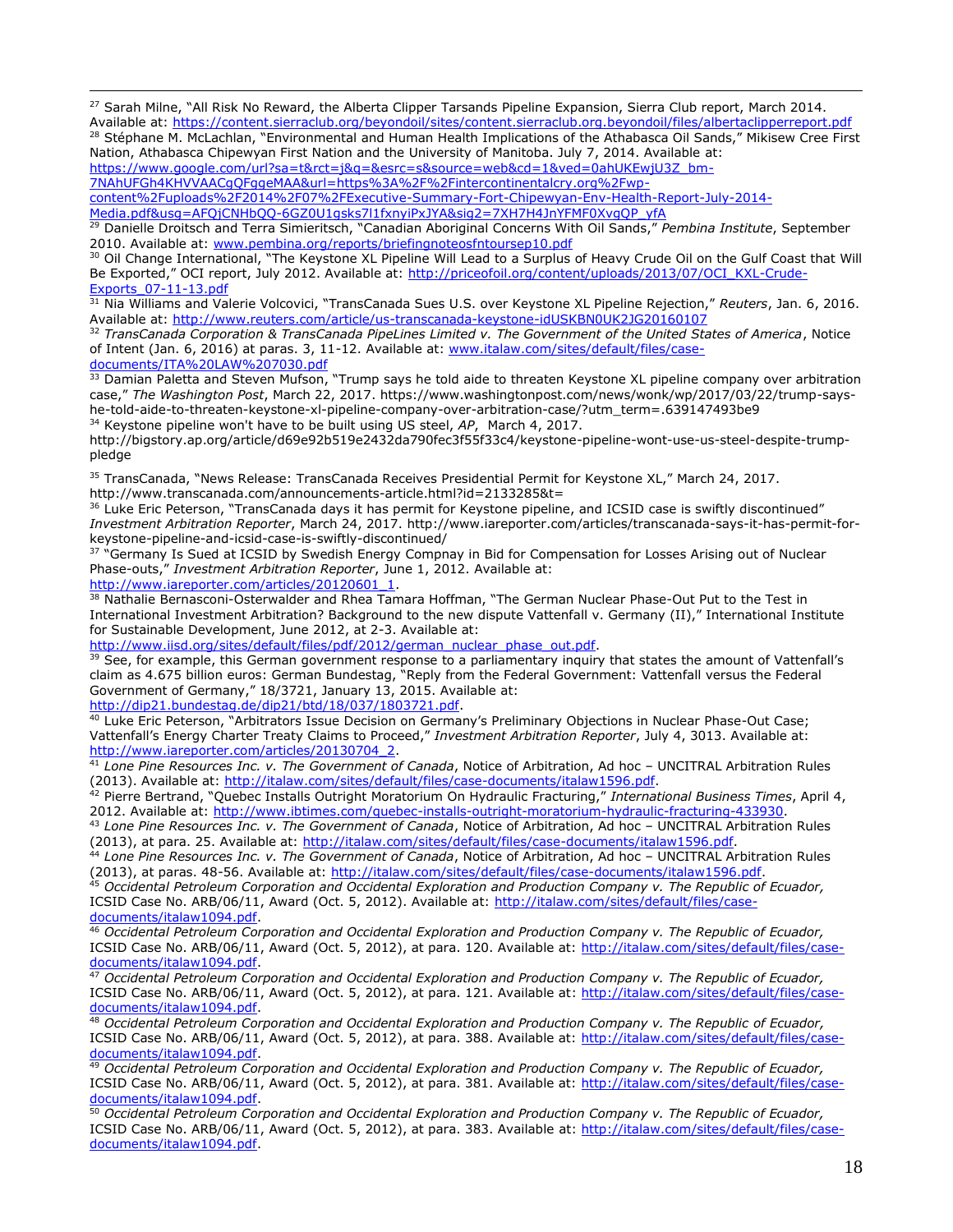<sup>27</sup> Sarah Milne, "All Risk No Reward, the Alberta Clipper Tarsands Pipeline Expansion, Sierra Club report, March 2014. Available at:<https://content.sierraclub.org/beyondoil/sites/content.sierraclub.org.beyondoil/files/albertaclipperreport.pdf>

28 Stéphane M. McLachlan, "Environmental and Human Health Implications of the Athabasca Oil Sands," Mikisew Cree First Nation, Athabasca Chipewyan First Nation and the University of Manitoba. July 7, 2014. Available at:

[https://www.google.com/url?sa=t&rct=j&q=&esrc=s&source=web&cd=1&ved=0ahUKEwjU3Z\\_bm-](https://www.google.com/url?sa=t&rct=j&q=&esrc=s&source=web&cd=1&ved=0ahUKEwjU3Z_bm-7NAhUFGh4KHVVAACgQFggeMAA&url=https%3A%2F%2Fintercontinentalcry.org%2Fwp-content%2Fuploads%2F2014%2F07%2FExecutive-Summary-Fort-Chipewyan-Env-Health-Report-July-2014-Media.pdf&usg=AFQjCNHbQQ-6GZ0U1gsks7l1fxnyiPxJYA&sig2=7XH7H4JnYFMF0XvgQP_yfA)[7NAhUFGh4KHVVAACgQFggeMAA&url=https%3A%2F%2Fintercontinentalcry.org%2Fwp-](https://www.google.com/url?sa=t&rct=j&q=&esrc=s&source=web&cd=1&ved=0ahUKEwjU3Z_bm-7NAhUFGh4KHVVAACgQFggeMAA&url=https%3A%2F%2Fintercontinentalcry.org%2Fwp-content%2Fuploads%2F2014%2F07%2FExecutive-Summary-Fort-Chipewyan-Env-Health-Report-July-2014-Media.pdf&usg=AFQjCNHbQQ-6GZ0U1gsks7l1fxnyiPxJYA&sig2=7XH7H4JnYFMF0XvgQP_yfA)

[content%2Fuploads%2F2014%2F07%2FExecutive-Summary-Fort-Chipewyan-Env-Health-Report-July-2014-](https://www.google.com/url?sa=t&rct=j&q=&esrc=s&source=web&cd=1&ved=0ahUKEwjU3Z_bm-7NAhUFGh4KHVVAACgQFggeMAA&url=https%3A%2F%2Fintercontinentalcry.org%2Fwp-content%2Fuploads%2F2014%2F07%2FExecutive-Summary-Fort-Chipewyan-Env-Health-Report-July-2014-Media.pdf&usg=AFQjCNHbQQ-6GZ0U1gsks7l1fxnyiPxJYA&sig2=7XH7H4JnYFMF0XvgQP_yfA)

[Media.pdf&usg=AFQjCNHbQQ-6GZ0U1gsks7l1fxnyiPxJYA&sig2=7XH7H4JnYFMF0XvgQP\\_yfA](https://www.google.com/url?sa=t&rct=j&q=&esrc=s&source=web&cd=1&ved=0ahUKEwjU3Z_bm-7NAhUFGh4KHVVAACgQFggeMAA&url=https%3A%2F%2Fintercontinentalcry.org%2Fwp-content%2Fuploads%2F2014%2F07%2FExecutive-Summary-Fort-Chipewyan-Env-Health-Report-July-2014-Media.pdf&usg=AFQjCNHbQQ-6GZ0U1gsks7l1fxnyiPxJYA&sig2=7XH7H4JnYFMF0XvgQP_yfA)

<sup>29</sup> Danielle Droitsch and Terra Simieritsch, "Canadian Aboriginal Concerns With Oil Sands," *Pembina Institute*, September 2010. Available at: [www.pembina.org/reports/briefingnoteosfntoursep10.pdf](http://www.pembina.org/reports/briefingnoteosfntoursep10.pdf)

<sup>30</sup> Oil Change International, "The Keystone XL Pipeline Will Lead to a Surplus of Heavy Crude Oil on the Gulf Coast that Will Be Exported," OCI report, July 2012. Available at: [http://priceofoil.org/content/uploads/2013/07/OCI\\_KXL-Crude-](http://priceofoil.org/content/uploads/2013/07/OCI_KXL-Crude-Exports_07-11-13.pdf)[Exports\\_07-11-13.pdf](http://priceofoil.org/content/uploads/2013/07/OCI_KXL-Crude-Exports_07-11-13.pdf)

<sup>31</sup> Nia Williams and Valerie Volcovici, "TransCanada Sues U.S. over Keystone XL Pipeline Rejection," *Reuters*, Jan. 6, 2016. Available at:<http://www.reuters.com/article/us-transcanada-keystone-idUSKBN0UK2JG20160107>

<sup>32</sup> *TransCanada Corporation & TransCanada PipeLines Limited v. The Government of the United States of America*, Notice of Intent (Jan. 6, 2016) at paras. 3, 11-12. Available at: [www.italaw.com/sites/default/files/case](http://www.italaw.com/sites/default/files/case-documents/ITA%20LAW%207030.pdf)[documents/ITA%20LAW%207030.pdf](http://www.italaw.com/sites/default/files/case-documents/ITA%20LAW%207030.pdf)

33 Damian Paletta and Steven Mufson, "Trump says he told aide to threaten Keystone XL pipeline company over arbitration case," *The Washington Post*, March 22, 2017. https://www.washingtonpost.com/news/wonk/wp/2017/03/22/trump-sayshe-told-aide-to-threaten-keystone-xl-pipeline-company-over-arbitration-case/?utm\_term=.639147493be9 <sup>34</sup> Keystone pipeline won't have to be built using US steel, *AP*, March 4, 2017.

http://bigstory.ap.org/article/d69e92b519e2432da790fec3f55f33c4/keystone-pipeline-wont-use-us-steel-despite-trumppledge

<sup>35</sup> TransCanada, "News Release: TransCanada Receives Presidential Permit for Keystone XL," March 24, 2017. http://www.transcanada.com/announcements-article.html?id=2133285&t=

<sup>36</sup> Luke Eric Peterson, "TransCanada days it has permit for Keystone pipeline, and ICSID case is swiftly discontinued" *Investment Arbitration Reporter*, March 24, 2017. http://www.iareporter.com/articles/transcanada-says-it-has-permit-forkeystone-pipeline-and-icsid-case-is-swiftly-discontinued/

<sup>37</sup> "Germany Is Sued at ICSID by Swedish Energy Compnay in Bid for Compensation for Losses Arising out of Nuclear Phase-outs," *Investment Arbitration Reporter*, June 1, 2012. Available at:

[http://www.iareporter.com/articles/20120601\\_1.](http://www.iareporter.com/articles/20120601_1)

 $\overline{a}$ 

38 Nathalie Bernasconi-Osterwalder and Rhea Tamara Hoffman, "The German Nuclear Phase-Out Put to the Test in International Investment Arbitration? Background to the new dispute Vattenfall v. Germany (II)," International Institute for Sustainable Development, June 2012, at 2-3. Available at:

[http://www.iisd.org/sites/default/files/pdf/2012/german\\_nuclear\\_phase\\_out.pdf.](http://www.iisd.org/sites/default/files/pdf/2012/german_nuclear_phase_out.pdf)

<sup>39</sup> See, for example, this German government response to a parliamentary inquiry that states the amount of Vattenfall's claim as 4.675 billion euros: German Bundestag, "Reply from the Federal Government: Vattenfall versus the Federal Government of Germany," 18/3721, January 13, 2015. Available at:

[http://dip21.bundestag.de/dip21/btd/18/037/1803721.pdf.](http://dip21.bundestag.de/dip21/btd/18/037/1803721.pdf)

<sup>40</sup> Luke Eric Peterson, "Arbitrators Issue Decision on Germany's Preliminary Objections in Nuclear Phase-Out Case; Vattenfall's Energy Charter Treaty Claims to Proceed," *Investment Arbitration Reporter*, July 4, 3013. Available at: [http://www.iareporter.com/articles/20130704\\_2.](http://www.iareporter.com/articles/20130704_2)

<sup>41</sup> *Lone Pine Resources Inc. v. The Government of Canada*, Notice of Arbitration, Ad hoc – UNCITRAL Arbitration Rules (2013). Available at: [http://italaw.com/sites/default/files/case-documents/italaw1596.pdf.](http://italaw.com/sites/default/files/case-documents/italaw1596.pdf)

<sup>42</sup> Pierre Bertrand, "Quebec Installs Outright Moratorium On Hydraulic Fracturing," *International Business Times*, April 4, 2012. Available at: [http://www.ibtimes.com/quebec-installs-outright-moratorium-hydraulic-fracturing-433930.](http://www.ibtimes.com/quebec-installs-outright-moratorium-hydraulic-fracturing-433930)

<sup>43</sup> *Lone Pine Resources Inc. v. The Government of Canada*, Notice of Arbitration, Ad hoc – UNCITRAL Arbitration Rules (2013), at para. 25. Available at: [http://italaw.com/sites/default/files/case-documents/italaw1596.pdf.](http://italaw.com/sites/default/files/case-documents/italaw1596.pdf)

<sup>44</sup> *Lone Pine Resources Inc. v. The Government of Canada*, Notice of Arbitration, Ad hoc – UNCITRAL Arbitration Rules (2013), at paras. 48-56. Available at: [http://italaw.com/sites/default/files/case-documents/italaw1596.pdf.](http://italaw.com/sites/default/files/case-documents/italaw1596.pdf)

<sup>45</sup> *Occidental Petroleum Corporation and Occidental Exploration and Production Company v. The Republic of Ecuador,*  ICSID Case No. ARB/06/11, Award (Oct. 5, 2012). Available at: [http://italaw.com/sites/default/files/case](http://italaw.com/sites/default/files/case-documents/italaw1094.pdf)[documents/italaw1094.pdf.](http://italaw.com/sites/default/files/case-documents/italaw1094.pdf)

<sup>46</sup> *Occidental Petroleum Corporation and Occidental Exploration and Production Company v. The Republic of Ecuador,*  ICSID Case No. ARB/06/11, Award (Oct. 5, 2012), at para. 120. Available at: [http://italaw.com/sites/default/files/case](http://italaw.com/sites/default/files/case-documents/italaw1094.pdf)[documents/italaw1094.pdf.](http://italaw.com/sites/default/files/case-documents/italaw1094.pdf)

<sup>47</sup> *Occidental Petroleum Corporation and Occidental Exploration and Production Company v. The Republic of Ecuador,*  ICSID Case No. ARB/06/11, Award (Oct. 5, 2012), at para. 121. Available at: [http://italaw.com/sites/default/files/case](http://italaw.com/sites/default/files/case-documents/italaw1094.pdf)[documents/italaw1094.pdf.](http://italaw.com/sites/default/files/case-documents/italaw1094.pdf)

<sup>48</sup> *Occidental Petroleum Corporation and Occidental Exploration and Production Company v. The Republic of Ecuador,*  ICSID Case No. ARB/06/11, Award (Oct. 5, 2012), at para. 388. Available at: [http://italaw.com/sites/default/files/case](http://italaw.com/sites/default/files/case-documents/italaw1094.pdf)[documents/italaw1094.pdf.](http://italaw.com/sites/default/files/case-documents/italaw1094.pdf)

<sup>49</sup> *Occidental Petroleum Corporation and Occidental Exploration and Production Company v. The Republic of Ecuador,*  ICSID Case No. ARB/06/11, Award (Oct. 5, 2012), at para. 381. Available at: [http://italaw.com/sites/default/files/case](http://italaw.com/sites/default/files/case-documents/italaw1094.pdf)[documents/italaw1094.pdf.](http://italaw.com/sites/default/files/case-documents/italaw1094.pdf)

<sup>50</sup> *Occidental Petroleum Corporation and Occidental Exploration and Production Company v. The Republic of Ecuador,*  ICSID Case No. ARB/06/11, Award (Oct. 5, 2012), at para. 383. Available at: [http://italaw.com/sites/default/files/case](http://italaw.com/sites/default/files/case-documents/italaw1094.pdf)[documents/italaw1094.pdf.](http://italaw.com/sites/default/files/case-documents/italaw1094.pdf)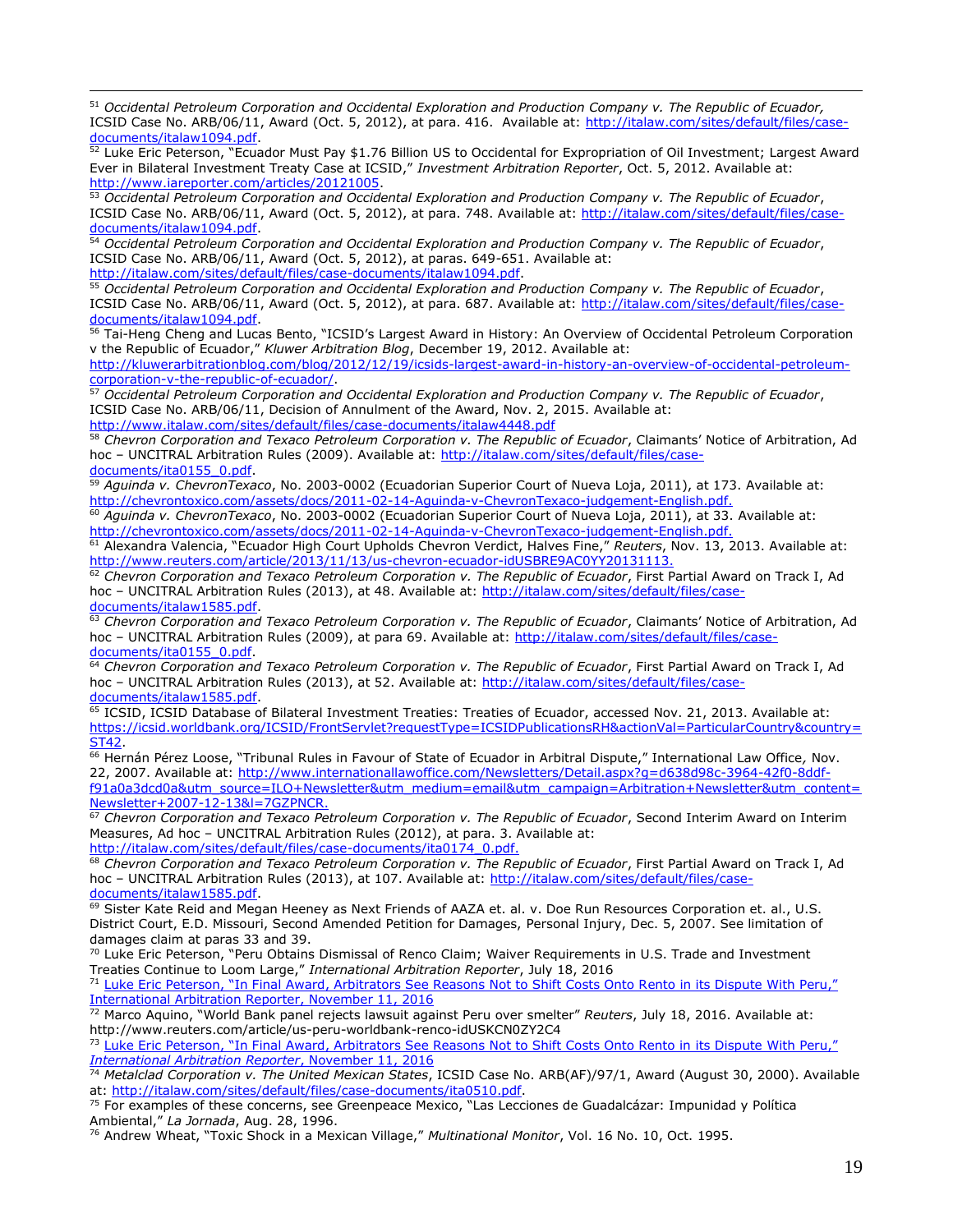<sup>51</sup> *Occidental Petroleum Corporation and Occidental Exploration and Production Company v. The Republic of Ecuador,*  ICSID Case No. ARB/06/11, Award (Oct. 5, 2012), at para. 416. Available at: [http://italaw.com/sites/default/files/case](http://italaw.com/sites/default/files/case-documents/italaw1094.pdf)[documents/italaw1094.pdf.](http://italaw.com/sites/default/files/case-documents/italaw1094.pdf)

 $\overline{a}$ 

52 Luke Eric Peterson, "Ecuador Must Pay \$1.76 Billion US to Occidental for Expropriation of Oil Investment; Largest Award Ever in Bilateral Investment Treaty Case at ICSID," *Investment Arbitration Reporter*, Oct. 5, 2012. Available at: [http://www.iareporter.com/articles/20121005.](http://www.iareporter.com/articles/20121005)

<sup>53</sup> *Occidental Petroleum Corporation and Occidental Exploration and Production Company v. The Republic of Ecuador*, ICSID Case No. ARB/06/11, Award (Oct. 5, 2012), at para. 748. Available at: [http://italaw.com/sites/default/files/case](http://italaw.com/sites/default/files/case-documents/italaw1094.pdf)[documents/italaw1094.pdf.](http://italaw.com/sites/default/files/case-documents/italaw1094.pdf)

<sup>54</sup> *Occidental Petroleum Corporation and Occidental Exploration and Production Company v. The Republic of Ecuador*, ICSID Case No. ARB/06/11, Award (Oct. 5, 2012), at paras. 649-651. Available at: [http://italaw.com/sites/default/files/case-documents/italaw1094.pdf.](http://italaw.com/sites/default/files/case-documents/italaw1094.pdf)

<sup>55</sup> *Occidental Petroleum Corporation and Occidental Exploration and Production Company v. The Republic of Ecuador*, ICSID Case No. ARB/06/11, Award (Oct. 5, 2012), at para. 687. Available at: [http://italaw.com/sites/default/files/case](http://italaw.com/sites/default/files/case-documents/italaw1094.pdf)[documents/italaw1094.pdf.](http://italaw.com/sites/default/files/case-documents/italaw1094.pdf)

<sup>56</sup> Tai-Heng Cheng and Lucas Bento, "ICSID's Largest Award in History: An Overview of Occidental Petroleum Corporation v the Republic of Ecuador," *Kluwer Arbitration Blog*, December 19, 2012. Available at:

[http://kluwerarbitrationblog.com/blog/2012/12/19/icsids-largest-award-in-history-an-overview-of-occidental-petroleum](http://kluwerarbitrationblog.com/blog/2012/12/19/icsids-largest-award-in-history-an-overview-of-occidental-petroleum-corporation-v-the-republic-of-ecuador/)[corporation-v-the-republic-of-ecuador/.](http://kluwerarbitrationblog.com/blog/2012/12/19/icsids-largest-award-in-history-an-overview-of-occidental-petroleum-corporation-v-the-republic-of-ecuador/)

<sup>57</sup> *Occidental Petroleum Corporation and Occidental Exploration and Production Company v. The Republic of Ecuador*, ICSID Case No. ARB/06/11, Decision of Annulment of the Award, Nov. 2, 2015. Available at: http://www.italaw.com/sites/default/files/case-documents/italaw4448.pd

<sup>58</sup> *Chevron Corporation and Texaco Petroleum Corporation v. The Republic of Ecuador*, Claimants' Notice of Arbitration, Ad hoc - UNCITRAL Arbitration Rules (2009). Available at: [http://italaw.com/sites/default/files/case](http://italaw.com/sites/default/files/case-documents/ita0155_0.pdf)[documents/ita0155\\_0.pdf.](http://italaw.com/sites/default/files/case-documents/ita0155_0.pdf)

<sup>59</sup> *Aguinda v. ChevronTexaco*, No. 2003-0002 (Ecuadorian Superior Court of Nueva Loja, 2011), at 173. Available at: [http://chevrontoxico.com/assets/docs/2011-02-14-Aguinda-v-ChevronTexaco-judgement-English.pdf.](http://chevrontoxico.com/assets/docs/2011-02-14-Aguinda-v-ChevronTexaco-judgement-English.pdf)

<sup>60</sup> *Aguinda v. ChevronTexaco*, No. 2003-0002 (Ecuadorian Superior Court of Nueva Loja, 2011), at 33. Available at: [http://chevrontoxico.com/assets/docs/2011-02-14-Aguinda-v-ChevronTexaco-judgement-English.pdf.](http://chevrontoxico.com/assets/docs/2011-02-14-Aguinda-v-ChevronTexaco-judgement-English.pdf)

<sup>61</sup> Alexandra Valencia, "Ecuador High Court Upholds Chevron Verdict, Halves Fine," *Reuters*, Nov. 13, 2013. Available at: [http://www.reuters.com/article/2013/11/13/us-chevron-ecuador-idUSBRE9AC0YY20131113.](http://www.reuters.com/article/2013/11/13/us-chevron-ecuador-idUSBRE9AC0YY20131113)

<sup>62</sup> *Chevron Corporation and Texaco Petroleum Corporation v. The Republic of Ecuador*, First Partial Award on Track I, Ad hoc - UNCITRAL Arbitration Rules (2013), at 48. Available at: [http://italaw.com/sites/default/files/case](http://italaw.com/sites/default/files/case-documents/italaw1585.pdf)[documents/italaw1585.pdf.](http://italaw.com/sites/default/files/case-documents/italaw1585.pdf)

<sup>63</sup> *Chevron Corporation and Texaco Petroleum Corporation v. The Republic of Ecuador*, Claimants' Notice of Arbitration, Ad hoc - UNCITRAL Arbitration Rules (2009), at para 69. Available at: [http://italaw.com/sites/default/files/case](http://italaw.com/sites/default/files/case-documents/ita0155_0.pdf)[documents/ita0155\\_0.pdf.](http://italaw.com/sites/default/files/case-documents/ita0155_0.pdf)

<sup>64</sup> Chevron Corporation and Texaco Petroleum Corporation v. The Republic of Ecuador, First Partial Award on Track I, Ad hoc - UNCITRAL Arbitration Rules (2013), at 52. Available at: [http://italaw.com/sites/default/files/case](http://italaw.com/sites/default/files/case-documents/italaw1585.pdf)[documents/italaw1585.pdf.](http://italaw.com/sites/default/files/case-documents/italaw1585.pdf)

65 ICSID, ICSID Database of Bilateral Investment Treaties: Treaties of Ecuador, accessed Nov. 21, 2013. Available at: [https://icsid.worldbank.org/ICSID/FrontServlet?requestType=ICSIDPublicationsRH&actionVal=ParticularCountry&country=](https://icsid.worldbank.org/ICSID/FrontServlet?requestType=ICSIDPublicationsRH&actionVal=ParticularCountry&country=ST42) [ST42.](https://icsid.worldbank.org/ICSID/FrontServlet?requestType=ICSIDPublicationsRH&actionVal=ParticularCountry&country=ST42)

<sup>66</sup> Hernán Pérez Loose, "Tribunal Rules in Favour of State of Ecuador in Arbitral Dispute," International Law Office*,* Nov. 22, 2007. Available at: [http://www.internationallawoffice.com/Newsletters/Detail.aspx?g=d638d98c-3964-42f0-8ddf](http://www.internationallawoffice.com/Newsletters/Detail.aspx?g=d638d98c-3964-42f0-8ddf-f91a0a3dcd0a&utm_source=ILO+Newsletter&utm_medium=email&utm_campaign=Arbitration+Newsletter&utm_content=Newsletter+2007-12-13&l=7GZPNCR)[f91a0a3dcd0a&utm\\_source=ILO+Newsletter&utm\\_medium=email&utm\\_campaign=Arbitration+Newsletter&utm\\_content=](http://www.internationallawoffice.com/Newsletters/Detail.aspx?g=d638d98c-3964-42f0-8ddf-f91a0a3dcd0a&utm_source=ILO+Newsletter&utm_medium=email&utm_campaign=Arbitration+Newsletter&utm_content=Newsletter+2007-12-13&l=7GZPNCR) [Newsletter+2007-12-13&l=7GZPNCR.](http://www.internationallawoffice.com/Newsletters/Detail.aspx?g=d638d98c-3964-42f0-8ddf-f91a0a3dcd0a&utm_source=ILO+Newsletter&utm_medium=email&utm_campaign=Arbitration+Newsletter&utm_content=Newsletter+2007-12-13&l=7GZPNCR)

<sup>67</sup> *Chevron Corporation and Texaco Petroleum Corporation v. The Republic of Ecuador*, Second Interim Award on Interim Measures, Ad hoc – UNCITRAL Arbitration Rules (2012), at para. 3. Available at: [http://italaw.com/sites/default/files/case-documents/ita0174\\_0.pdf.](http://italaw.com/sites/default/files/case-documents/ita0174_0.pdf)

<sup>68</sup> *Chevron Corporation and Texaco Petroleum Corporation v. The Republic of Ecuador*, First Partial Award on Track I, Ad hoc – UNCITRAL Arbitration Rules (2013), at 107. Available at: [http://italaw.com/sites/default/files/case](http://italaw.com/sites/default/files/case-documents/italaw1585.pdf)[documents/italaw1585.pdf.](http://italaw.com/sites/default/files/case-documents/italaw1585.pdf)

69 Sister Kate Reid and Megan Heeney as Next Friends of AAZA et. al. v. Doe Run Resources Corporation et. al., U.S. District Court, E.D. Missouri, Second Amended Petition for Damages, Personal Injury, Dec. 5, 2007. See limitation of damages claim at paras 33 and 39.

<sup>70</sup> Luke Eric Peterson, "Peru Obtains Dismissal of Renco Claim; Waiver Requirements in U.S. Trade and Investment Treaties Continue to Loom Large," *International Arbitration Reporter*, July 18, 2016

71 Luke Eric Peterson, "In Final Award, Arbitrators See Reasons Not to Shift Costs Onto Rento in its Dispute With Peru," [International Arbitration Reporter, November 11, 2016](http://www.iareporter.com/articles/in-final-award-arbitrators-see-reasons-not-to-shift-costs-onto-renco-in-its-dispute-with-peru/)

<sup>72</sup> Marco Aquino, "World Bank panel rejects lawsuit against Peru over smelter" *Reuters*, July 18, 2016. Available at: http://www.reuters.com/article/us-peru-worldbank-renco-idUSKCN0ZY2C4

73 Luke Eric Peterson, "In Final Award, Arbitrators See Reasons Not to Shift Costs Onto Rento in its Dispute With Peru," *[International Arbitration Reporter](http://www.iareporter.com/articles/in-final-award-arbitrators-see-reasons-not-to-shift-costs-onto-renco-in-its-dispute-with-peru/)*, November 11, 2016

<sup>74</sup> *Metalclad Corporation v. The United Mexican States*, ICSID Case No. ARB(AF)/97/1, Award (August 30, 2000). Available at: [http://italaw.com/sites/default/files/case-documents/ita0510.pdf.](http://italaw.com/sites/default/files/case-documents/ita0510.pdf)

<sup>75</sup> For examples of these concerns, see Greenpeace Mexico, "Las Lecciones de Guadalcázar: Impunidad y Política Ambiental," *La Jornada*, Aug. 28, 1996.

<sup>76</sup> Andrew Wheat, "Toxic Shock in a Mexican Village," *Multinational Monitor*, Vol. 16 No. 10, Oct. 1995.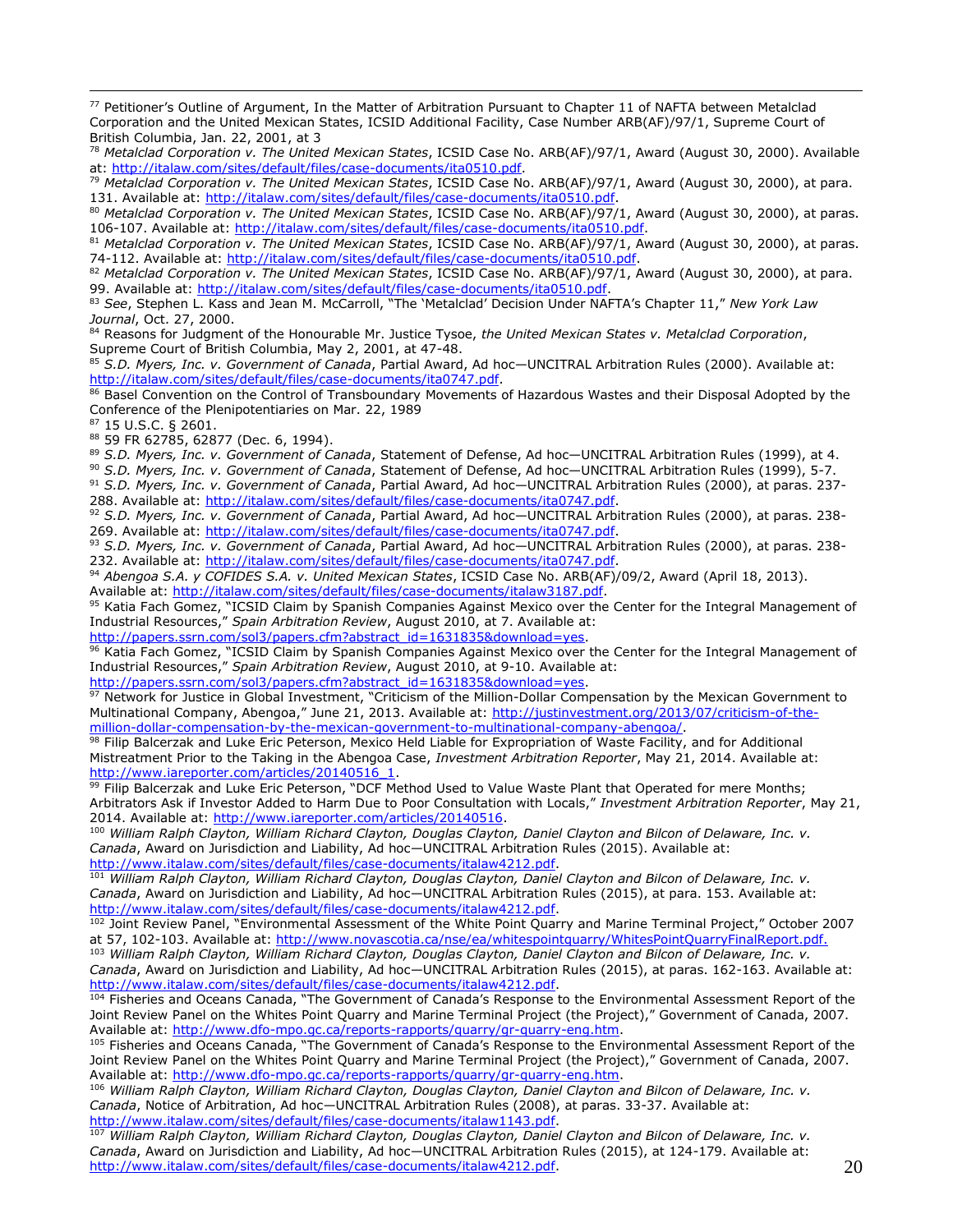<sup>77</sup> Petitioner's Outline of Argument, In the Matter of Arbitration Pursuant to Chapter 11 of NAFTA between Metalclad Corporation and the United Mexican States, ICSID Additional Facility, Case Number ARB(AF)/97/1, Supreme Court of British Columbia, Jan. 22, 2001, at 3

<sup>78</sup> *Metalclad Corporation v. The United Mexican States*, ICSID Case No. ARB(AF)/97/1, Award (August 30, 2000). Available at: [http://italaw.com/sites/default/files/case-documents/ita0510.pdf.](http://italaw.com/sites/default/files/case-documents/ita0510.pdf)

<sup>79</sup> *Metalclad Corporation v. The United Mexican States*, ICSID Case No. ARB(AF)/97/1, Award (August 30, 2000), at para. 131. Available at: [http://italaw.com/sites/default/files/case-documents/ita0510.pdf.](http://italaw.com/sites/default/files/case-documents/ita0510.pdf)

<sup>80</sup> *Metalclad Corporation v. The United Mexican States*, ICSID Case No. ARB(AF)/97/1, Award (August 30, 2000), at paras. 106-107. Available at: [http://italaw.com/sites/default/files/case-documents/ita0510.pdf.](http://italaw.com/sites/default/files/case-documents/ita0510.pdf)

<sup>81</sup> *Metalclad Corporation v. The United Mexican States*, ICSID Case No. ARB(AF)/97/1, Award (August 30, 2000), at paras. 74-112. Available at: [http://italaw.com/sites/default/files/case-documents/ita0510.pdf.](http://italaw.com/sites/default/files/case-documents/ita0510.pdf)

82 Metalclad Corporation v. The United Mexican States, ICSID Case No. ARB(AF)/97/1, Award (August 30, 2000), at para. 99. Available at: [http://italaw.com/sites/default/files/case-documents/ita0510.pdf.](http://italaw.com/sites/default/files/case-documents/ita0510.pdf)

<sup>83</sup> *See*, Stephen L. Kass and Jean M. McCarroll, "The 'Metalclad' Decision Under NAFTA's Chapter 11," *New York Law Journal*, Oct. 27, 2000.

<sup>84</sup> Reasons for Judgment of the Honourable Mr. Justice Tysoe, *the United Mexican States v. Metalclad Corporation*, Supreme Court of British Columbia, May 2, 2001, at 47-48.

<sup>85</sup> *S.D. Myers, Inc. v. Government of Canada*, Partial Award, Ad hoc—UNCITRAL Arbitration Rules (2000). Available at: [http://italaw.com/sites/default/files/case-documents/ita0747.pdf.](http://italaw.com/sites/default/files/case-documents/ita0747.pdf)

86 Basel Convention on the Control of Transboundary Movements of Hazardous Wastes and their Disposal Adopted by the Conference of the Plenipotentiaries on Mar. 22, 1989

<sup>87</sup> 15 U.S.C. § 2601.

 $\overline{a}$ 

<sup>88</sup> 59 FR 62785, 62877 (Dec. 6, 1994).

<sup>89</sup> *S.D. Myers, Inc. v. Government of Canada*, Statement of Defense, Ad hoc—UNCITRAL Arbitration Rules (1999), at 4.

<sup>90</sup> *S.D. Myers, Inc. v. Government of Canada*, Statement of Defense, Ad hoc—UNCITRAL Arbitration Rules (1999), 5-7.

<sup>91</sup> *S.D. Myers, Inc. v. Government of Canada*, Partial Award, Ad hoc—UNCITRAL Arbitration Rules (2000), at paras. 237- 288. Available at: [http://italaw.com/sites/default/files/case-documents/ita0747.pdf.](http://italaw.com/sites/default/files/case-documents/ita0747.pdf)

<sup>92</sup> *S.D. Myers, Inc. v. Government of Canada*, Partial Award, Ad hoc—UNCITRAL Arbitration Rules (2000), at paras. 238 269. Available at: [http://italaw.com/sites/default/files/case-documents/ita0747.pdf.](http://italaw.com/sites/default/files/case-documents/ita0747.pdf)

<sup>93</sup> *S.D. Myers, Inc. v. Government of Canada*, Partial Award, Ad hoc—UNCITRAL Arbitration Rules (2000), at paras. 238- 232. Available at: [http://italaw.com/sites/default/files/case-documents/ita0747.pdf.](http://italaw.com/sites/default/files/case-documents/ita0747.pdf)

<sup>94</sup> *Abengoa S.A. y COFIDES S.A. v. United Mexican States*, ICSID Case No. ARB(AF)/09/2, Award (April 18, 2013). Available at: [http://italaw.com/sites/default/files/case-documents/italaw3187.pdf.](http://italaw.com/sites/default/files/case-documents/italaw3187.pdf)

95 Katia Fach Gomez, "ICSID Claim by Spanish Companies Against Mexico over the Center for the Integral Management of Industrial Resources," *Spain Arbitration Review*, August 2010, at 7. Available at:

[http://papers.ssrn.com/sol3/papers.cfm?abstract\\_id=1631835&download=yes.](http://papers.ssrn.com/sol3/papers.cfm?abstract_id=1631835&download=yes)

96 Katia Fach Gomez, "ICSID Claim by Spanish Companies Against Mexico over the Center for the Integral Management of Industrial Resources," *Spain Arbitration Review*, August 2010, at 9-10. Available at:

[http://papers.ssrn.com/sol3/papers.cfm?abstract\\_id=1631835&download=yes.](http://papers.ssrn.com/sol3/papers.cfm?abstract_id=1631835&download=yes)

<sup>97</sup> Network for Justice in Global Investment, "Criticism of the Million-Dollar Compensation by the Mexican Government to Multinational Company, Abengoa," June 21, 2013. Available at: [http://justinvestment.org/2013/07/criticism-of-the](http://justinvestment.org/2013/07/criticism-of-the-million-dollar-compensation-by-the-mexican-government-to-multinational-company-abengoa/)[million-dollar-compensation-by-the-mexican-government-to-multinational-company-abengoa/.](http://justinvestment.org/2013/07/criticism-of-the-million-dollar-compensation-by-the-mexican-government-to-multinational-company-abengoa/)

98 Filip Balcerzak and Luke Eric Peterson, Mexico Held Liable for Expropriation of Waste Facility, and for Additional Mistreatment Prior to the Taking in the Abengoa Case, *Investment Arbitration Reporter*, May 21, 2014. Available at: [http://www.iareporter.com/articles/20140516\\_1.](http://www.iareporter.com/articles/20140516_1)

99 Filip Balcerzak and Luke Eric Peterson, "DCF Method Used to Value Waste Plant that Operated for mere Months; Arbitrators Ask if Investor Added to Harm Due to Poor Consultation with Locals," *Investment Arbitration Reporter*, May 21, 2014. Available at: [http://www.iareporter.com/articles/20140516.](http://www.iareporter.com/articles/20140516)

<sup>100</sup> *William Ralph Clayton, William Richard Clayton, Douglas Clayton, Daniel Clayton and Bilcon of Delaware, Inc. v. Canada*, Award on Jurisdiction and Liability, Ad hoc—UNCITRAL Arbitration Rules (2015). Available at: [http://www.italaw.com/sites/default/files/case-documents/italaw4212.pdf.](http://www.italaw.com/sites/default/files/case-documents/italaw4212.pdf)

<sup>101</sup> *William Ralph Clayton, William Richard Clayton, Douglas Clayton, Daniel Clayton and Bilcon of Delaware, Inc. v. Canada*, Award on Jurisdiction and Liability, Ad hoc—UNCITRAL Arbitration Rules (2015), at para. 153. Available at: [http://www.italaw.com/sites/default/files/case-documents/italaw4212.pdf.](http://www.italaw.com/sites/default/files/case-documents/italaw4212.pdf)

102 Joint Review Panel, "Environmental Assessment of the White Point Quarry and Marine Terminal Project," October 2007 at 57, 102-103. Available at: [http://www.novascotia.ca/nse/ea/whitespointquarry/WhitesPointQuarryFinalReport.pdf.](http://www.novascotia.ca/nse/ea/whitespointquarry/WhitesPointQuarryFinalReport.pdf)

<sup>103</sup> *William Ralph Clayton, William Richard Clayton, Douglas Clayton, Daniel Clayton and Bilcon of Delaware, Inc. v. Canada*, Award on Jurisdiction and Liability, Ad hoc—UNCITRAL Arbitration Rules (2015), at paras. 162-163. Available at: [http://www.italaw.com/sites/default/files/case-documents/italaw4212.pdf.](http://www.italaw.com/sites/default/files/case-documents/italaw4212.pdf)

104 Fisheries and Oceans Canada, "The Government of Canada's Response to the Environmental Assessment Report of the Joint Review Panel on the Whites Point Quarry and Marine Terminal Project (the Project)," Government of Canada, 2007. Available at: [http://www.dfo-mpo.gc.ca/reports-rapports/quarry/gr-quarry-eng.htm.](http://www.dfo-mpo.gc.ca/reports-rapports/quarry/gr-quarry-eng.htm)

105 Fisheries and Oceans Canada, "The Government of Canada's Response to the Environmental Assessment Report of the Joint Review Panel on the Whites Point Quarry and Marine Terminal Project (the Project)," Government of Canada, 2007. Available at: [http://www.dfo-mpo.gc.ca/reports-rapports/quarry/gr-quarry-eng.htm.](http://www.dfo-mpo.gc.ca/reports-rapports/quarry/gr-quarry-eng.htm)

<sup>106</sup> *William Ralph Clayton, William Richard Clayton, Douglas Clayton, Daniel Clayton and Bilcon of Delaware, Inc. v. Canada*, Notice of Arbitration, Ad hoc—UNCITRAL Arbitration Rules (2008), at paras. 33-37. Available at: [http://www.italaw.com/sites/default/files/case-documents/italaw1143.pdf.](http://www.italaw.com/sites/default/files/case-documents/italaw1143.pdf)

<sup>107</sup> *William Ralph Clayton, William Richard Clayton, Douglas Clayton, Daniel Clayton and Bilcon of Delaware, Inc. v. Canada*, Award on Jurisdiction and Liability, Ad hoc—UNCITRAL Arbitration Rules (2015), at 124-179. Available at: [http://www.italaw.com/sites/default/files/case-documents/italaw4212.pdf.](http://www.italaw.com/sites/default/files/case-documents/italaw4212.pdf)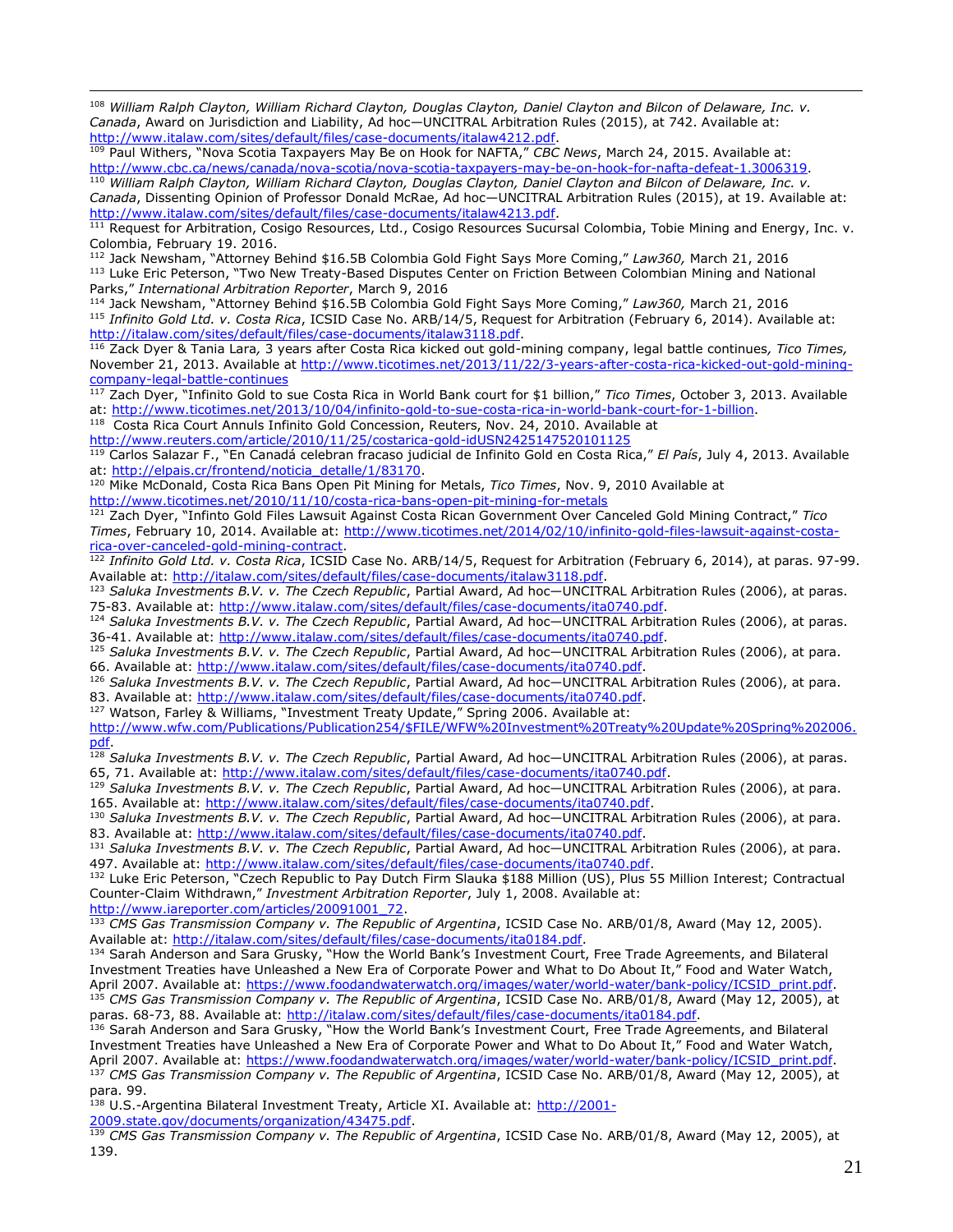<sup>108</sup> *William Ralph Clayton, William Richard Clayton, Douglas Clayton, Daniel Clayton and Bilcon of Delaware, Inc. v. Canada*, Award on Jurisdiction and Liability, Ad hoc—UNCITRAL Arbitration Rules (2015), at 742. Available at: [http://www.italaw.com/sites/default/files/case-documents/italaw4212.pdf.](http://www.italaw.com/sites/default/files/case-documents/italaw4212.pdf)

<sup>109</sup> Paul Withers, "Nova Scotia Taxpayers May Be on Hook for NAFTA," *CBC News*, March 24, 2015. Available at: [http://www.cbc.ca/news/canada/nova-scotia/nova-scotia-taxpayers-may-be-on-hook-for-nafta-defeat-1.3006319.](http://www.cbc.ca/news/canada/nova-scotia/nova-scotia-taxpayers-may-be-on-hook-for-nafta-defeat-1.3006319)

<sup>110</sup> *William Ralph Clayton, William Richard Clayton, Douglas Clayton, Daniel Clayton and Bilcon of Delaware, Inc. v. Canada*, Dissenting Opinion of Professor Donald McRae, Ad hoc—UNCITRAL Arbitration Rules (2015), at 19. Available at: [http://www.italaw.com/sites/default/files/case-documents/italaw4213.pdf.](http://www.italaw.com/sites/default/files/case-documents/italaw4213.pdf)

 $^{111}$  Request for Arbitration, Cosigo Resources, Ltd., Cosigo Resources Sucursal Colombia, Tobie Mining and Energy, Inc. v. Colombia, February 19. 2016.

<sup>112</sup> Jack Newsham, "Attorney Behind \$16.5B Colombia Gold Fight Says More Coming," *Law360,* March 21, 2016 <sup>113</sup> Luke Eric Peterson, "Two New Treaty-Based Disputes Center on Friction Between Colombian Mining and National Parks," *International Arbitration Reporter*, March 9, 2016

<sup>114</sup> Jack Newsham, "Attorney Behind \$16.5B Colombia Gold Fight Says More Coming," *Law360,* March 21, 2016 <sup>115</sup> *Infinito Gold Ltd. v. Costa Rica*, ICSID Case No. ARB/14/5, Request for Arbitration (February 6, 2014). Available at: [http://italaw.com/sites/default/files/case-documents/italaw3118.pdf.](http://italaw.com/sites/default/files/case-documents/italaw3118.pdf)

<sup>116</sup> Zack Dyer & Tania Lara*,* 3 years after Costa Rica kicked out gold-mining company, legal battle continues*, Tico Times,*  November 21, 2013. Available at [http://www.ticotimes.net/2013/11/22/3-years-after-costa-rica-kicked-out-gold-mining](http://www.ticotimes.net/2013/11/22/3-years-after-costa-rica-kicked-out-gold-mining-company-legal-battle-continues)[company-legal-battle-continues](http://www.ticotimes.net/2013/11/22/3-years-after-costa-rica-kicked-out-gold-mining-company-legal-battle-continues)

<sup>117</sup> Zach Dyer, "Infinito Gold to sue Costa Rica in World Bank court for \$1 billion," *Tico Times*, October 3, 2013. Available at: [http://www.ticotimes.net/2013/10/04/infinito-gold-to-sue-costa-rica-in-world-bank-court-for-1-billion.](http://www.ticotimes.net/2013/10/04/infinito-gold-to-sue-costa-rica-in-world-bank-court-for-1-billion)

<sup>118</sup> Costa Rica Court Annuls Infinito Gold Concession, Reuters, Nov. 24, 2010. Available at

<http://www.reuters.com/article/2010/11/25/costarica-gold-idUSN2425147520101125>

 $\overline{a}$ 

<sup>119</sup> Carlos Salazar F., "En Canadá celebran fracaso judicial de Infinito Gold en Costa Rica," *El País*, July 4, 2013. Available at: [http://elpais.cr/frontend/noticia\\_detalle/1/83170.](http://elpais.cr/frontend/noticia_detalle/1/83170)

<sup>120</sup> Mike McDonald, Costa Rica Bans Open Pit Mining for Metals, *Tico Times*, Nov. 9, 2010 Available at <http://www.ticotimes.net/2010/11/10/costa-rica-bans-open-pit-mining-for-metals>

<sup>121</sup> Zach Dyer, "Infinto Gold Files Lawsuit Against Costa Rican Government Over Canceled Gold Mining Contract," *Tico Times*, February 10, 2014. Available at: [http://www.ticotimes.net/2014/02/10/infinito-gold-files-lawsuit-against-costa](http://www.ticotimes.net/2014/02/10/infinito-gold-files-lawsuit-against-costa-rica-over-canceled-gold-mining-contract)[rica-over-canceled-gold-mining-contract.](http://www.ticotimes.net/2014/02/10/infinito-gold-files-lawsuit-against-costa-rica-over-canceled-gold-mining-contract)

<sup>122</sup> *Infinito Gold Ltd. v. Costa Rica*, ICSID Case No. ARB/14/5, Request for Arbitration (February 6, 2014), at paras. 97-99. Available at: [http://italaw.com/sites/default/files/case-documents/italaw3118.pdf.](http://italaw.com/sites/default/files/case-documents/italaw3118.pdf)

<sup>123</sup> *Saluka Investments B.V. v. The Czech Republic*, Partial Award, Ad hoc—UNCITRAL Arbitration Rules (2006), at paras. 75-83. Available at: [http://www.italaw.com/sites/default/files/case-documents/ita0740.pdf.](http://www.italaw.com/sites/default/files/case-documents/ita0740.pdf)

<sup>124</sup> *Saluka Investments B.V. v. The Czech Republic*, Partial Award, Ad hoc—UNCITRAL Arbitration Rules (2006), at paras. 36-41. Available at: [http://www.italaw.com/sites/default/files/case-documents/ita0740.pdf.](http://www.italaw.com/sites/default/files/case-documents/ita0740.pdf)

<sup>125</sup> *Saluka Investments B.V. v. The Czech Republic*, Partial Award, Ad hoc—UNCITRAL Arbitration Rules (2006), at para. 66. Available at: [http://www.italaw.com/sites/default/files/case-documents/ita0740.pdf.](http://www.italaw.com/sites/default/files/case-documents/ita0740.pdf)

<sup>126</sup> *Saluka Investments B.V. v. The Czech Republic*, Partial Award, Ad hoc—UNCITRAL Arbitration Rules (2006), at para. 83. Available at: [http://www.italaw.com/sites/default/files/case-documents/ita0740.pdf.](http://www.italaw.com/sites/default/files/case-documents/ita0740.pdf)

<sup>127</sup> Watson, Farley & Williams, "Investment Treaty Update," Spring 2006. Available at:

[http://www.wfw.com/Publications/Publication254/\\$FILE/WFW%20Investment%20Treaty%20Update%20Spring%202006.](http://www.wfw.com/Publications/Publication254/$FILE/WFW%20Investment%20Treaty%20Update%20Spring%202006.pdf) [pdf.](http://www.wfw.com/Publications/Publication254/$FILE/WFW%20Investment%20Treaty%20Update%20Spring%202006.pdf)

<sup>128</sup> *Saluka Investments B.V. v. The Czech Republic*, Partial Award, Ad hoc—UNCITRAL Arbitration Rules (2006), at paras. 65, 71. Available at: [http://www.italaw.com/sites/default/files/case-documents/ita0740.pdf.](http://www.italaw.com/sites/default/files/case-documents/ita0740.pdf)

<sup>129</sup> Saluka Investments B.V. v. The Czech Republic, Partial Award, Ad hoc-UNCITRAL Arbitration Rules (2006), at para. 165. Available at: [http://www.italaw.com/sites/default/files/case-documents/ita0740.pdf.](http://www.italaw.com/sites/default/files/case-documents/ita0740.pdf)

<sup>130</sup> *Saluka Investments B.V. v. The Czech Republic*, Partial Award, Ad hoc—UNCITRAL Arbitration Rules (2006), at para. 83. Available at: [http://www.italaw.com/sites/default/files/case-documents/ita0740.pdf.](http://www.italaw.com/sites/default/files/case-documents/ita0740.pdf)

<sup>131</sup> *Saluka Investments B.V. v. The Czech Republic*, Partial Award, Ad hoc—UNCITRAL Arbitration Rules (2006), at para. 497. Available at: [http://www.italaw.com/sites/default/files/case-documents/ita0740.pdf.](http://www.italaw.com/sites/default/files/case-documents/ita0740.pdf)

132 Luke Eric Peterson, "Czech Republic to Pay Dutch Firm Slauka \$188 Million (US), Plus 55 Million Interest; Contractual Counter-Claim Withdrawn," *Investment Arbitration Reporter*, July 1, 2008. Available at: [http://www.iareporter.com/articles/20091001\\_72.](http://www.iareporter.com/articles/20091001_72)

133 *CMS Gas Transmission Company v. The Republic of Argentina*, ICSID Case No. ARB/01/8, Award (May 12, 2005).

Available at: [http://italaw.com/sites/default/files/case-documents/ita0184.pdf.](http://italaw.com/sites/default/files/case-documents/ita0184.pdf)

134 Sarah Anderson and Sara Grusky, "How the World Bank's Investment Court, Free Trade Agreements, and Bilateral Investment Treaties have Unleashed a New Era of Corporate Power and What to Do About It," Food and Water Watch, April 2007. Available at: [https://www.foodandwaterwatch.org/images/water/world-water/bank-policy/ICSID\\_print.pdf.](https://www.foodandwaterwatch.org/images/water/world-water/bank-policy/ICSID_print.pdf) <sup>135</sup> *CMS Gas Transmission Company v. The Republic of Argentina*, ICSID Case No. ARB/01/8, Award (May 12, 2005), at paras. 68-73, 88. Available at: [http://italaw.com/sites/default/files/case-documents/ita0184.pdf.](http://italaw.com/sites/default/files/case-documents/ita0184.pdf)

<sup>136</sup> Sarah Anderson and Sara Grusky, "How the World Bank's Investment Court, Free Trade Agreements, and Bilateral Investment Treaties have Unleashed a New Era of Corporate Power and What to Do About It," Food and Water Watch, April 2007. Available at: [https://www.foodandwaterwatch.org/images/water/world-water/bank-policy/ICSID\\_print.pdf.](https://www.foodandwaterwatch.org/images/water/world-water/bank-policy/ICSID_print.pdf) <sup>137</sup> *CMS Gas Transmission Company v. The Republic of Argentina*, ICSID Case No. ARB/01/8, Award (May 12, 2005), at para. 99.

138 U.S.-Argentina Bilateral Investment Treaty, Article XI. Available at[: http://2001-](http://2001-2009.state.gov/documents/organization/43475.pdf) [2009.state.gov/documents/organization/43475.pdf.](http://2001-2009.state.gov/documents/organization/43475.pdf)

<sup>139</sup> *CMS Gas Transmission Company v. The Republic of Argentina*, ICSID Case No. ARB/01/8, Award (May 12, 2005), at 139.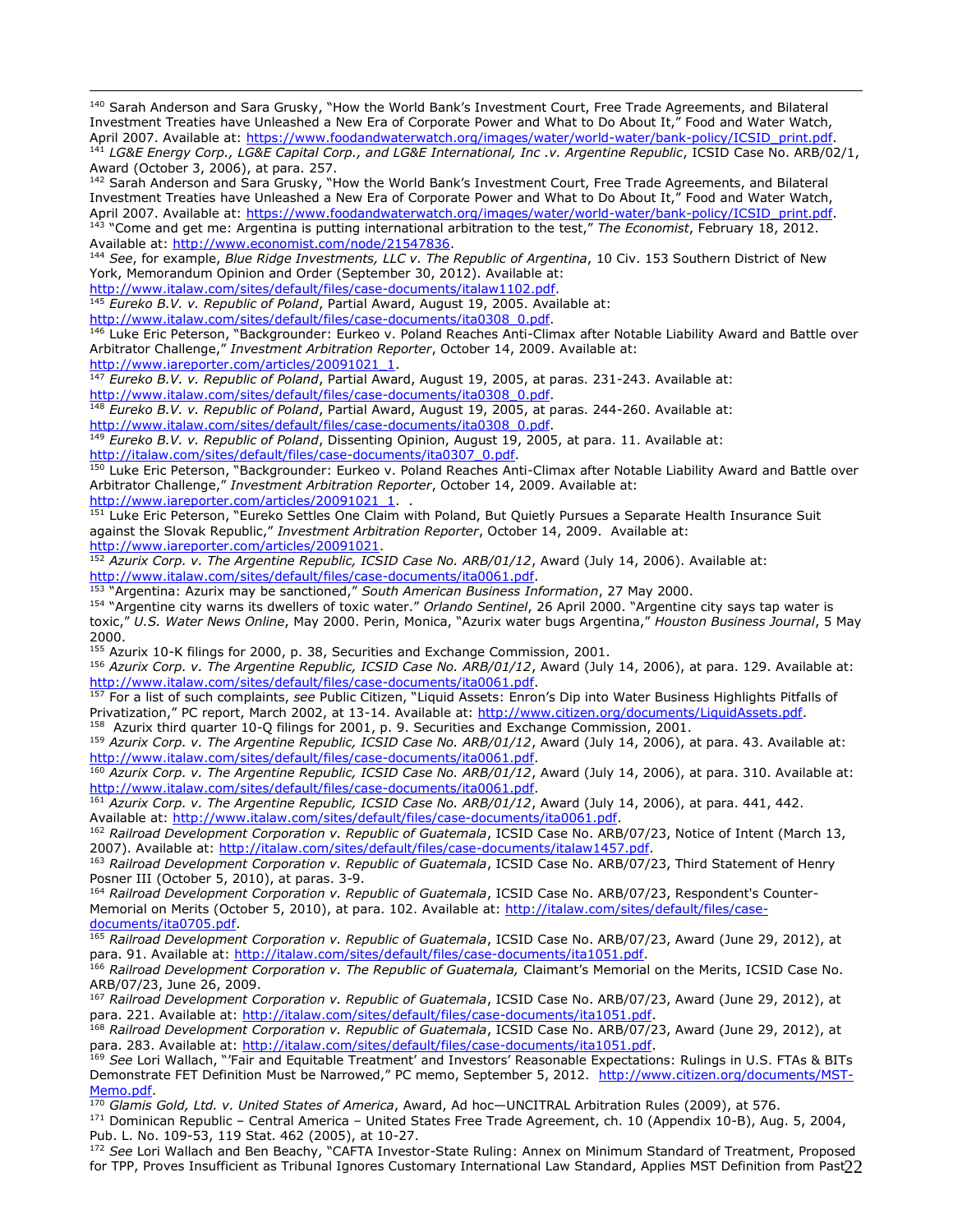140 Sarah Anderson and Sara Grusky, "How the World Bank's Investment Court, Free Trade Agreements, and Bilateral Investment Treaties have Unleashed a New Era of Corporate Power and What to Do About It," Food and Water Watch, April 2007. Available at: [https://www.foodandwaterwatch.org/images/water/world-water/bank-policy/ICSID\\_print.pdf.](https://www.foodandwaterwatch.org/images/water/world-water/bank-policy/ICSID_print.pdf) <sup>141</sup> *LG&E Energy Corp., LG&E Capital Corp., and LG&E International, Inc .v. Argentine Republic*, ICSID Case No. ARB/02/1,

Award (October 3, 2006), at para. 257.

<sup>142</sup> Sarah Anderson and Sara Grusky, "How the World Bank's Investment Court, Free Trade Agreements, and Bilateral Investment Treaties have Unleashed a New Era of Corporate Power and What to Do About It," Food and Water Watch, April 2007. Available at: [https://www.foodandwaterwatch.org/images/water/world-water/bank-policy/ICSID\\_print.pdf.](https://www.foodandwaterwatch.org/images/water/world-water/bank-policy/ICSID_print.pdf) <sup>143</sup> "Come and get me: Argentina is putting international arbitration to the test," *The Economist*, February 18, 2012. Available at: [http://www.economist.com/node/21547836.](http://www.economist.com/node/21547836)

<sup>144</sup> *See*, for example, *Blue Ridge Investments, LLC v. The Republic of Argentina*, 10 Civ. 153 Southern District of New York, Memorandum Opinion and Order (September 30, 2012). Available at:

[http://www.italaw.com/sites/default/files/case-documents/italaw1102.pdf.](http://www.italaw.com/sites/default/files/case-documents/italaw1102.pdf)

<sup>145</sup> *Eureko B.V. v. Republic of Poland*, Partial Award, August 19, 2005. Available at:

[http://www.italaw.com/sites/default/files/case-documents/ita0308\\_0.pdf.](http://www.italaw.com/sites/default/files/case-documents/ita0308_0.pdf)

<sup>146</sup> Luke Eric Peterson, "Backgrounder: Eurkeo v. Poland Reaches Anti-Climax after Notable Liability Award and Battle over Arbitrator Challenge," *Investment Arbitration Reporter*, October 14, 2009. Available at:

[http://www.iareporter.com/articles/20091021\\_1.](http://www.iareporter.com/articles/20091021_1)

 $\overline{a}$ 

<sup>147</sup> *Eureko B.V. v. Republic of Poland*, Partial Award, August 19, 2005, at paras. 231-243. Available at: [http://www.italaw.com/sites/default/files/case-documents/ita0308\\_0.pdf.](http://www.italaw.com/sites/default/files/case-documents/ita0308_0.pdf)

<sup>148</sup> *Eureko B.V. v. Republic of Poland*, Partial Award, August 19, 2005, at paras. 244-260. Available at: [http://www.italaw.com/sites/default/files/case-documents/ita0308\\_0.pdf.](http://www.italaw.com/sites/default/files/case-documents/ita0308_0.pdf)

<sup>149</sup> *Eureko B.V. v. Republic of Poland*, Dissenting Opinion, August 19, 2005, at para. 11. Available at: [http://italaw.com/sites/default/files/case-documents/ita0307\\_0.pdf.](http://italaw.com/sites/default/files/case-documents/ita0307_0.pdf)

150 Luke Eric Peterson, "Backgrounder: Eurkeo v. Poland Reaches Anti-Climax after Notable Liability Award and Battle over Arbitrator Challenge," *Investment Arbitration Reporter*, October 14, 2009. Available at: [http://www.iareporter.com/articles/20091021\\_1.](http://www.iareporter.com/articles/20091021_1) .

<sup>151</sup> Luke Eric Peterson, "Eureko Settles One Claim with Poland, But Quietly Pursues a Separate Health Insurance Suit against the Slovak Republic," *Investment Arbitration Reporter*, October 14, 2009. Available at: [http://www.iareporter.com/articles/20091021.](http://www.iareporter.com/articles/20091021)

<sup>152</sup> *Azurix Corp. v. The Argentine Republic, ICSID Case No. ARB/01/12*, Award (July 14, 2006). Available at: [http://www.italaw.com/sites/default/files/case-documents/ita0061.pdf.](http://www.italaw.com/sites/default/files/case-documents/ita0061.pdf)

<sup>153</sup> "Argentina: Azurix may be sanctioned," *South American Business Information*, 27 May 2000.

<sup>154</sup> "Argentine city warns its dwellers of toxic water." *Orlando Sentinel*, 26 April 2000. "Argentine city says tap water is toxic," *U.S. Water News Online*, May 2000. Perin, Monica, "Azurix water bugs Argentina," *Houston Business Journal*, 5 May 2000.

<sup>155</sup> Azurix 10-K filings for 2000, p. 38, Securities and Exchange Commission, 2001.

<sup>156</sup> *Azurix Corp. v. The Argentine Republic, ICSID Case No. ARB/01/12*, Award (July 14, 2006), at para. 129. Available at: [http://www.italaw.com/sites/default/files/case-documents/ita0061.pdf.](http://www.italaw.com/sites/default/files/case-documents/ita0061.pdf)

<sup>157</sup> For a list of such complaints, *see* Public Citizen, "Liquid Assets: Enron's Dip into Water Business Highlights Pitfalls of Privatization," PC report, March 2002, at 13-14. Available at: [http://www.citizen.org/documents/LiquidAssets.pdf.](http://www.citizen.org/documents/LiquidAssets.pdf) <sup>158</sup> Azurix third quarter 10-Q filings for 2001, p. 9. Securities and Exchange Commission, 2001.

<sup>159</sup> *Azurix Corp. v. The Argentine Republic, ICSID Case No. ARB/01/12*, Award (July 14, 2006), at para. 43. Available at: [http://www.italaw.com/sites/default/files/case-documents/ita0061.pdf.](http://www.italaw.com/sites/default/files/case-documents/ita0061.pdf)

<sup>160</sup> *Azurix Corp. v. The Argentine Republic, ICSID Case No. ARB/01/12*, Award (July 14, 2006), at para. 310. Available at: [http://www.italaw.com/sites/default/files/case-documents/ita0061.pdf.](http://www.italaw.com/sites/default/files/case-documents/ita0061.pdf)

<sup>161</sup> *Azurix Corp. v. The Argentine Republic, ICSID Case No. ARB/01/12*, Award (July 14, 2006), at para. 441, 442. Available at: [http://www.italaw.com/sites/default/files/case-documents/ita0061.pdf.](http://www.italaw.com/sites/default/files/case-documents/ita0061.pdf)

<sup>162</sup> Railroad Development Corporation v. Republic of Guatemala, ICSID Case No. ARB/07/23, Notice of Intent (March 13, 2007). Available at: [http://italaw.com/sites/default/files/case-documents/italaw1457.pdf.](http://italaw.com/sites/default/files/case-documents/italaw1457.pdf)

<sup>163</sup> Railroad Development Corporation v. Republic of Guatemala, ICSID Case No. ARB/07/23, Third Statement of Henry Posner III (October 5, 2010), at paras. 3-9.

164 Railroad Development Corporation v. Republic of Guatemala, ICSID Case No. ARB/07/23, Respondent's Counter-Memorial on Merits (October 5, 2010), at para. 102. Available at: [http://italaw.com/sites/default/files/case](http://italaw.com/sites/default/files/case-documents/ita0705.pdf)[documents/ita0705.pdf.](http://italaw.com/sites/default/files/case-documents/ita0705.pdf)

<sup>165</sup> *Railroad Development Corporation v. Republic of Guatemala*, ICSID Case No. ARB/07/23, Award (June 29, 2012), at para. 91. Available at: [http://italaw.com/sites/default/files/case-documents/ita1051.pdf.](http://italaw.com/sites/default/files/case-documents/ita1051.pdf)

<sup>166</sup> *Railroad Development Corporation v. The Republic of Guatemala,* Claimant's Memorial on the Merits, ICSID Case No. ARB/07/23, June 26, 2009.

<sup>167</sup> *Railroad Development Corporation v. Republic of Guatemala*, ICSID Case No. ARB/07/23, Award (June 29, 2012), at para. 221. Available at: [http://italaw.com/sites/default/files/case-documents/ita1051.pdf.](http://italaw.com/sites/default/files/case-documents/ita1051.pdf)

<sup>168</sup> *Railroad Development Corporation v. Republic of Guatemala*, ICSID Case No. ARB/07/23, Award (June 29, 2012), at para. 283. Available at: [http://italaw.com/sites/default/files/case-documents/ita1051.pdf.](http://italaw.com/sites/default/files/case-documents/ita1051.pdf)

<sup>169</sup> *See* Lori Wallach, "'Fair and Equitable Treatment' and Investors' Reasonable Expectations: Rulings in U.S. FTAs & BITs Demonstrate FET Definition Must be Narrowed," PC memo, September 5, 2012. [http://www.citizen.org/documents/MST-](http://www.citizen.org/documents/MST-Memo.pdf)[Memo.pdf.](http://www.citizen.org/documents/MST-Memo.pdf)

<sup>170</sup> *Glamis Gold, Ltd. v. United States of America*, Award, Ad hoc—UNCITRAL Arbitration Rules (2009), at 576.

<sup>171</sup> Dominican Republic – Central America – United States Free Trade Agreement, ch. 10 (Appendix 10-B), Aug. 5, 2004, Pub. L. No. 109-53, 119 Stat. 462 (2005), at 10-27.

for TPP, Proves Insufficient as Tribunal Ignores Customary International Law Standard, Applies MST Definition from Past $22\,$ <sup>172</sup> *See* Lori Wallach and Ben Beachy, "CAFTA Investor-State Ruling: Annex on Minimum Standard of Treatment, Proposed